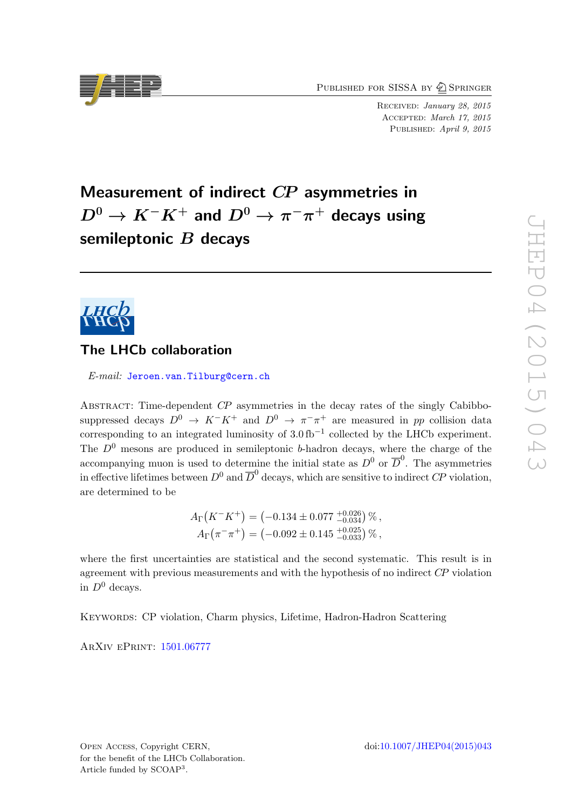PUBLISHED FOR SISSA BY  $\bigcirc$  Springer

Received: January 28, 2015 Accepted: March 17, 2015 PUBLISHED: April 9, 2015

# Measurement of indirect CP asymmetries in  $D^{0} \rightarrow K^{-}K^{+}$  and  $D^{0} \rightarrow \pi^{-}\pi^{+}$  decays using semileptonic  $B$  decays



# The LHCb collaboration

E-mail: [Jeroen.van.Tilburg@cern.ch](mailto:Jeroen.van.Tilburg@cern.ch)

Abstract: Time-dependent CP asymmetries in the decay rates of the singly Cabibbosuppressed decays  $D^0 \to K^-K^+$  and  $D^0 \to \pi^-\pi^+$  are measured in pp collision data corresponding to an integrated luminosity of  $3.0 \text{ fb}^{-1}$  collected by the LHCb experiment. The  $D^0$  mesons are produced in semileptonic b-hadron decays, where the charge of the accompanying muon is used to determine the initial state as  $D^0$  or  $\overline{D}^0$ . The asymmetries in effective lifetimes between  $D^0$  and  $\overline{D}^0$  decays, which are sensitive to indirect  $C\!P$  violation, are determined to be

$$
A_{\Gamma}(K^{-}K^{+}) = (-0.134 \pm 0.077 \frac{+0.026}{-0.034}) \%
$$
,  
\n
$$
A_{\Gamma}(\pi^{-}\pi^{+}) = (-0.092 \pm 0.145 \frac{+0.025}{-0.033}) \%
$$
,

where the first uncertainties are statistical and the second systematic. This result is in agreement with previous measurements and with the hypothesis of no indirect CP violation in  $D^0$  decays.

Keywords: CP violation, Charm physics, Lifetime, Hadron-Hadron Scattering

ArXiv ePrint: [1501.06777](http://arxiv.org/abs/1501.06777)

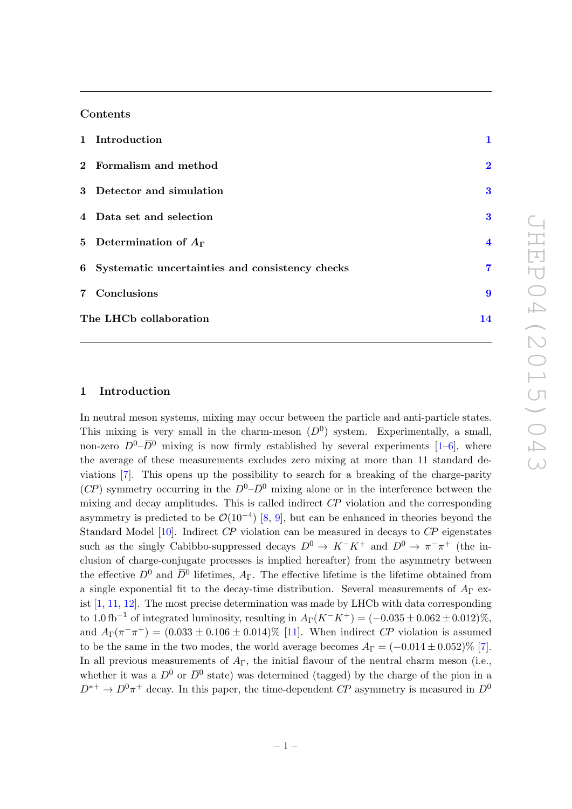## Contents

|                        | 1 Introduction                                    | 1                       |
|------------------------|---------------------------------------------------|-------------------------|
|                        | 2 Formalism and method                            | $\bf{2}$                |
|                        | 3 Detector and simulation                         | $\bf{3}$                |
|                        | 4 Data set and selection                          | $\bf{3}$                |
|                        | 5 Determination of $A_{\Gamma}$                   | $\overline{4}$          |
|                        | 6 Systematic uncertainties and consistency checks | $\overline{\mathbf{7}}$ |
|                        | 7 Conclusions                                     | 9                       |
| The LHCb collaboration |                                                   | 14                      |

## <span id="page-1-0"></span>1 Introduction

In neutral meson systems, mixing may occur between the particle and anti-particle states. This mixing is very small in the charm-meson  $(D^0)$  system. Experimentally, a small, non-zero  $D^0$ – $\overline{D}{}^0$  mixing is now firmly established by several experiments [\[1–](#page-11-0)[6\]](#page-11-1), where the average of these measurements excludes zero mixing at more than 11 standard deviations [\[7\]](#page-11-2). This opens up the possibility to search for a breaking of the charge-parity  $(CP)$  symmetry occurring in the  $D^0-\overline{D}{}^0$  mixing alone or in the interference between the mixing and decay amplitudes. This is called indirect CP violation and the corresponding asymmetry is predicted to be  $\mathcal{O}(10^{-4})$  [\[8,](#page-11-3) [9\]](#page-11-4), but can be enhanced in theories beyond the Standard Model [\[10\]](#page-11-5). Indirect CP violation can be measured in decays to CP eigenstates such as the singly Cabibbo-suppressed decays  $D^0 \to K^-K^+$  and  $D^0 \to \pi^- \pi^+$  (the inclusion of charge-conjugate processes is implied hereafter) from the asymmetry between the effective  $D^0$  and  $\overline{D}{}^0$  lifetimes,  $A_{\Gamma}$ . The effective lifetime is the lifetime obtained from a single exponential fit to the decay-time distribution. Several measurements of  $A_{\Gamma}$  exist  $[1, 11, 12]$  $[1, 11, 12]$  $[1, 11, 12]$  $[1, 11, 12]$ . The most precise determination was made by LHCb with data corresponding to 1.0 fb<sup>-1</sup> of integrated luminosity, resulting in  $A_\Gamma(K^-K^+) = (-0.035 \pm 0.062 \pm 0.012)\%$ , and  $A_{\Gamma}(\pi^-\pi^+) = (0.033 \pm 0.106 \pm 0.014)\%$  [\[11\]](#page-11-6). When indirect CP violation is assumed to be the same in the two modes, the world average becomes  $A_{\Gamma} = (-0.014 \pm 0.052)\%$  [\[7\]](#page-11-2). In all previous measurements of  $A_{\Gamma}$ , the initial flavour of the neutral charm meson (i.e., whether it was a  $D^0$  or  $\overline{D}{}^0$  state) was determined (tagged) by the charge of the pion in a  $D^{*+} \to D^0 \pi^+$  decay. In this paper, the time-dependent CP asymmetry is measured in  $D^0$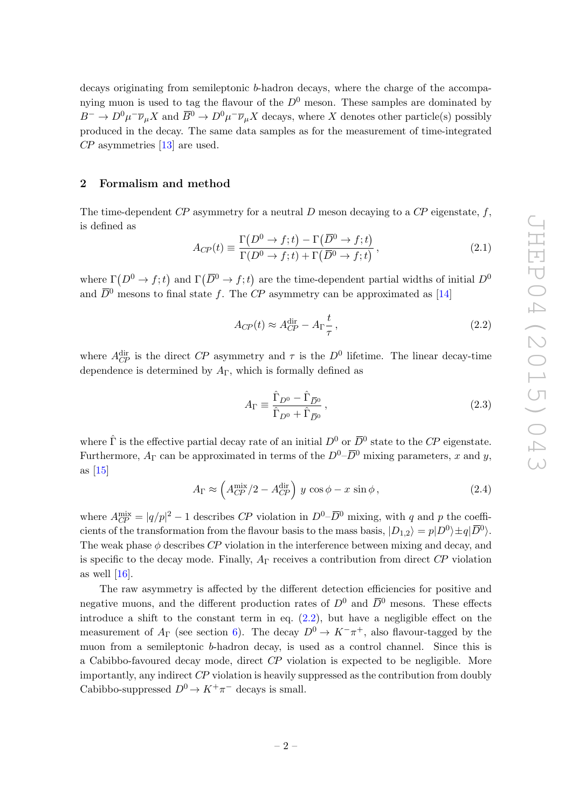decays originating from semileptonic b-hadron decays, where the charge of the accompanying muon is used to tag the flavour of the  $D^0$  meson. These samples are dominated by  $B^- \to D^0 \mu^- \overline{\nu}_{\mu} X$  and  $\overline{B}{}^0 \to D^0 \mu^- \overline{\nu}_{\mu} X$  decays, where X denotes other particle(s) possibly produced in the decay. The same data samples as for the measurement of time-integrated CP asymmetries [\[13\]](#page-12-1) are used.

## <span id="page-2-0"></span>2 Formalism and method

The time-dependent  $\mathbb{CP}$  asymmetry for a neutral  $D$  meson decaying to a  $\mathbb{CP}$  eigenstate,  $f$ , is defined as

$$
A_{CP}(t) \equiv \frac{\Gamma(D^0 \to f; t) - \Gamma(\overline{D}^0 \to f; t)}{\Gamma(D^0 \to f; t) + \Gamma(\overline{D}^0 \to f; t)},
$$
\n(2.1)

where  $\Gamma(D^0 \to f; t)$  and  $\Gamma(\overline{D}^0 \to f; t)$  are the time-dependent partial widths of initial  $D^0$ and  $\overline{D}^0$  mesons to final state f. The CP asymmetry can be approximated as [\[14\]](#page-12-2)

<span id="page-2-1"></span>
$$
A_{CP}(t) \approx A_{CP}^{\text{dir}} - A_{\Gamma} \frac{t}{\tau},\tag{2.2}
$$

where  $A_{CP}^{\text{dir}}$  is the direct CP asymmetry and  $\tau$  is the  $D^0$  lifetime. The linear decay-time dependence is determined by  $A_{\Gamma}$ , which is formally defined as

$$
A_{\Gamma} \equiv \frac{\hat{\Gamma}_{D^0} - \hat{\Gamma}_{\overline{D}^0}}{\hat{\Gamma}_{D^0} + \hat{\Gamma}_{\overline{D}^0}},\tag{2.3}
$$

where  $\hat{\Gamma}$  is the effective partial decay rate of an initial  $D^0$  or  $\overline{D}{}^0$  state to the CP eigenstate. Furthermore,  $A_{\Gamma}$  can be approximated in terms of the  $D^{0}-\overline{D}^{0}$  mixing parameters, x and y, as [\[15\]](#page-12-3)

$$
A_{\Gamma} \approx \left(A_{CP}^{\text{mix}}/2 - A_{CP}^{\text{dir}}\right) y \cos \phi - x \sin \phi, \qquad (2.4)
$$

where  $A_{CP}^{\text{mix}} = |q/p|^2 - 1$  describes CP violation in  $D^0$ - $\overline{D}{}^0$  mixing, with q and p the coefficients of the transformation from the flavour basis to the mass basis,  $|D_{1,2}\rangle = p|D^0\rangle \pm q|\overline{D}^0\rangle$ . The weak phase  $\phi$  describes CP violation in the interference between mixing and decay, and is specific to the decay mode. Finally,  $A_{\Gamma}$  receives a contribution from direct CP violation as well [\[16\]](#page-12-4).

The raw asymmetry is affected by the different detection efficiencies for positive and negative muons, and the different production rates of  $D^0$  and  $\overline{D}{}^0$  mesons. These effects introduce a shift to the constant term in eq.  $(2.2)$ , but have a negligible effect on the measurement of  $A_{\Gamma}$  (see section [6\)](#page-7-0). The decay  $D^{0} \to K^{-} \pi^{+}$ , also flavour-tagged by the muon from a semileptonic b-hadron decay, is used as a control channel. Since this is a Cabibbo-favoured decay mode, direct CP violation is expected to be negligible. More importantly, any indirect CP violation is heavily suppressed as the contribution from doubly Cabibbo-suppressed  $D^0 \to K^+\pi^-$  decays is small.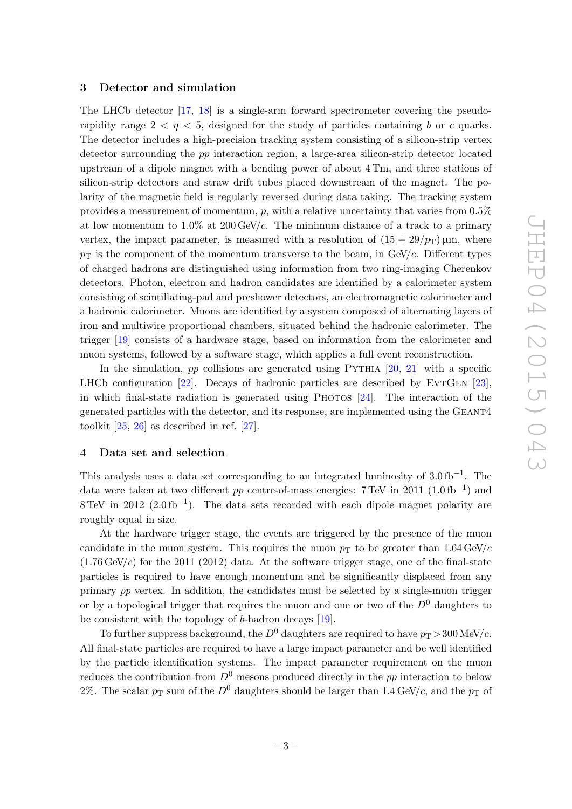#### <span id="page-3-0"></span>3 Detector and simulation

The LHCb detector [\[17,](#page-12-5) [18\]](#page-12-6) is a single-arm forward spectrometer covering the pseudorapidity range  $2 < \eta < 5$ , designed for the study of particles containing b or c quarks. The detector includes a high-precision tracking system consisting of a silicon-strip vertex detector surrounding the pp interaction region, a large-area silicon-strip detector located upstream of a dipole magnet with a bending power of about 4 Tm, and three stations of silicon-strip detectors and straw drift tubes placed downstream of the magnet. The polarity of the magnetic field is regularly reversed during data taking. The tracking system provides a measurement of momentum,  $p$ , with a relative uncertainty that varies from  $0.5\%$ at low momentum to  $1.0\%$  at  $200 \text{ GeV}/c$ . The minimum distance of a track to a primary vertex, the impact parameter, is measured with a resolution of  $(15 + 29/p_T)$  µm, where  $p<sub>T</sub>$  is the component of the momentum transverse to the beam, in GeV/c. Different types of charged hadrons are distinguished using information from two ring-imaging Cherenkov detectors. Photon, electron and hadron candidates are identified by a calorimeter system consisting of scintillating-pad and preshower detectors, an electromagnetic calorimeter and a hadronic calorimeter. Muons are identified by a system composed of alternating layers of iron and multiwire proportional chambers, situated behind the hadronic calorimeter. The trigger [\[19\]](#page-12-7) consists of a hardware stage, based on information from the calorimeter and muon systems, followed by a software stage, which applies a full event reconstruction.

In the simulation,  $pp$  collisions are generated using PYTHIA  $[20, 21]$  $[20, 21]$  $[20, 21]$  with a specific LHCb configuration  $[22]$ . Decays of hadronic particles are described by EVTGEN  $[23]$ , in which final-state radiation is generated using PHOTOS  $[24]$ . The interaction of the generated particles with the detector, and its response, are implemented using the Geant4 toolkit [\[25,](#page-12-13) [26\]](#page-12-14) as described in ref. [\[27\]](#page-12-15).

## <span id="page-3-1"></span>4 Data set and selection

This analysis uses a data set corresponding to an integrated luminosity of  $3.0 \text{ fb}^{-1}$ . The data were taken at two different pp centre-of-mass energies: 7 TeV in 2011  $(1.0 \text{ fb}^{-1})$  and  $8 \text{ TeV}$  in 2012 (2.0 fb<sup>-1</sup>). The data sets recorded with each dipole magnet polarity are roughly equal in size.

At the hardware trigger stage, the events are triggered by the presence of the muon candidate in the muon system. This requires the muon  $p_T$  to be greater than 1.64 GeV/c  $(1.76 \text{ GeV}/c)$  for the 2011 (2012) data. At the software trigger stage, one of the final-state particles is required to have enough momentum and be significantly displaced from any primary pp vertex. In addition, the candidates must be selected by a single-muon trigger or by a topological trigger that requires the muon and one or two of the  $D^0$  daughters to be consistent with the topology of b-hadron decays [\[19\]](#page-12-7).

To further suppress background, the  $D^0$  daughters are required to have  $p_T > 300$  MeV/c. All final-state particles are required to have a large impact parameter and be well identified by the particle identification systems. The impact parameter requirement on the muon reduces the contribution from  $D^0$  mesons produced directly in the pp interaction to below 2%. The scalar  $p_T$  sum of the  $D^0$  daughters should be larger than 1.4 GeV/c, and the  $p_T$  of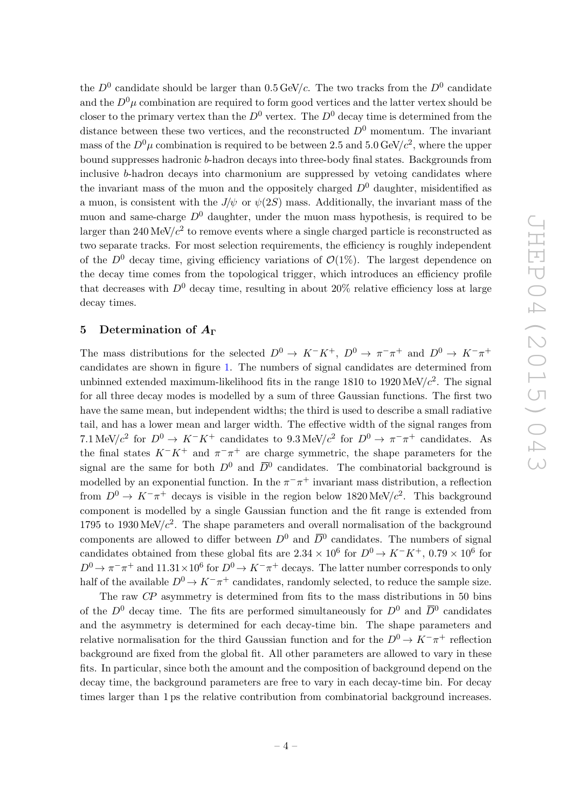the  $D^0$  candidate should be larger than 0.5 GeV/c. The two tracks from the  $D^0$  candidate and the  $D^0\mu$  combination are required to form good vertices and the latter vertex should be closer to the primary vertex than the  $D^0$  vertex. The  $D^0$  decay time is determined from the distance between these two vertices, and the reconstructed  $D^0$  momentum. The invariant mass of the  $D^0\mu$  combination is required to be between 2.5 and 5.0 GeV/ $c^2$ , where the upper bound suppresses hadronic b-hadron decays into three-body final states. Backgrounds from inclusive b-hadron decays into charmonium are suppressed by vetoing candidates where the invariant mass of the muon and the oppositely charged  $D^0$  daughter, misidentified as a muon, is consistent with the  $J/\psi$  or  $\psi(2S)$  mass. Additionally, the invariant mass of the muon and same-charge  $D^0$  daughter, under the muon mass hypothesis, is required to be larger than  $240 \,\text{MeV}/c^2$  to remove events where a single charged particle is reconstructed as two separate tracks. For most selection requirements, the efficiency is roughly independent of the  $D^0$  decay time, giving efficiency variations of  $\mathcal{O}(1\%)$ . The largest dependence on the decay time comes from the topological trigger, which introduces an efficiency profile that decreases with  $D^0$  decay time, resulting in about 20% relative efficiency loss at large decay times.

## <span id="page-4-0"></span>5 Determination of  $A_{\Gamma}$

The mass distributions for the selected  $D^0 \to K^-K^+$ ,  $D^0 \to \pi^-\pi^+$  and  $D^0 \to K^-\pi^+$ candidates are shown in figure [1.](#page-5-0) The numbers of signal candidates are determined from unbinned extended maximum-likelihood fits in the range 1810 to  $1920 \text{ MeV}/c^2$ . The signal for all three decay modes is modelled by a sum of three Gaussian functions. The first two have the same mean, but independent widths; the third is used to describe a small radiative tail, and has a lower mean and larger width. The effective width of the signal ranges from 7.1 MeV/ $c^2$  for  $D^0 \to K^-K^+$  candidates to 9.3 MeV/ $c^2$  for  $D^0 \to \pi^- \pi^+$  candidates. As the final states  $K^-K^+$  and  $\pi^-\pi^+$  are charge symmetric, the shape parameters for the signal are the same for both  $D^0$  and  $\overline{D}{}^0$  candidates. The combinatorial background is modelled by an exponential function. In the  $\pi^{-}\pi^{+}$  invariant mass distribution, a reflection from  $D^0 \to K^-\pi^+$  decays is visible in the region below 1820 MeV/ $c^2$ . This background component is modelled by a single Gaussian function and the fit range is extended from 1795 to 1930 MeV/ $c^2$ . The shape parameters and overall normalisation of the background components are allowed to differ between  $D^0$  and  $\overline{D}{}^0$  candidates. The numbers of signal candidates obtained from these global fits are  $2.34 \times 10^6$  for  $D^0 \to K^-K^+$ ,  $0.79 \times 10^6$  for  $D^0 \to \pi^- \pi^+$  and  $11.31 \times 10^6$  for  $D^0 \to K^- \pi^+$  decays. The latter number corresponds to only half of the available  $D^0 \to K^-\pi^+$  candidates, randomly selected, to reduce the sample size.

The raw CP asymmetry is determined from fits to the mass distributions in 50 bins of the  $D^0$  decay time. The fits are performed simultaneously for  $D^0$  and  $\overline{D}{}^0$  candidates and the asymmetry is determined for each decay-time bin. The shape parameters and relative normalisation for the third Gaussian function and for the  $D^0 \to K^-\pi^+$  reflection background are fixed from the global fit. All other parameters are allowed to vary in these fits. In particular, since both the amount and the composition of background depend on the decay time, the background parameters are free to vary in each decay-time bin. For decay times larger than 1 ps the relative contribution from combinatorial background increases.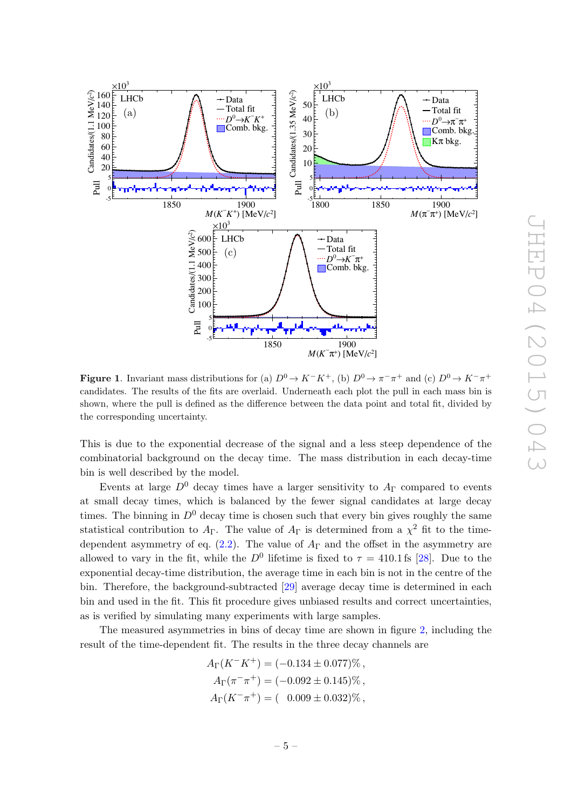

<span id="page-5-0"></span>**Figure 1.** Invariant mass distributions for (a)  $D^0 \to K^-K^+$ , (b)  $D^0 \to \pi^- \pi^+$  and (c)  $D^0 \to K^- \pi^+$ candidates. The results of the fits are overlaid. Underneath each plot the pull in each mass bin is shown, where the pull is defined as the difference between the data point and total fit, divided by the corresponding uncertainty.

This is due to the exponential decrease of the signal and a less steep dependence of the combinatorial background on the decay time. The mass distribution in each decay-time bin is well described by the model.

Events at large  $D^0$  decay times have a larger sensitivity to  $A_{\Gamma}$  compared to events at small decay times, which is balanced by the fewer signal candidates at large decay times. The binning in  $D^0$  decay time is chosen such that every bin gives roughly the same statistical contribution to  $A_{\Gamma}$ . The value of  $A_{\Gamma}$  is determined from a  $\chi^2$  fit to the timedependent asymmetry of eq.  $(2.2)$ . The value of  $A_{\Gamma}$  and the offset in the asymmetry are allowed to vary in the fit, while the  $D^0$  lifetime is fixed to  $\tau = 410.1$  fs [\[28\]](#page-12-16). Due to the exponential decay-time distribution, the average time in each bin is not in the centre of the bin. Therefore, the background-subtracted [\[29\]](#page-12-17) average decay time is determined in each bin and used in the fit. This fit procedure gives unbiased results and correct uncertainties, as is verified by simulating many experiments with large samples.

The measured asymmetries in bins of decay time are shown in figure [2,](#page-6-0) including the result of the time-dependent fit. The results in the three decay channels are

$$
A_{\Gamma}(K^{-}K^{+}) = (-0.134 \pm 0.077)\%,
$$
  
\n
$$
A_{\Gamma}(\pi^{-}\pi^{+}) = (-0.092 \pm 0.145)\%,
$$
  
\n
$$
A_{\Gamma}(K^{-}\pi^{+}) = (-0.009 \pm 0.032)\%,
$$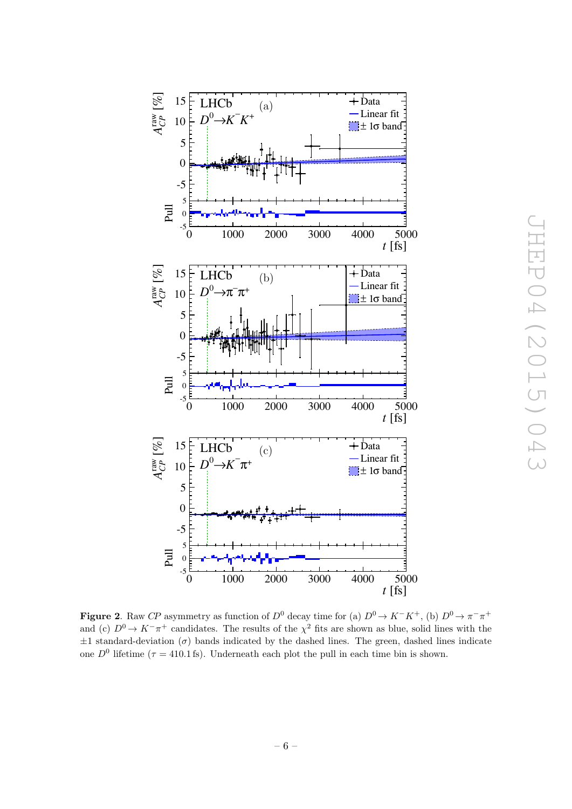

<span id="page-6-0"></span>**Figure 2.** Raw CP asymmetry as function of  $D^0$  decay time for (a)  $D^0 \to K^-K^+$ , (b)  $D^0 \to \pi^- \pi^+$ and (c)  $D^0 \to K^-\pi^+$  candidates. The results of the  $\chi^2$  fits are shown as blue, solid lines with the  $\pm 1$  standard-deviation ( $\sigma$ ) bands indicated by the dashed lines. The green, dashed lines indicate one  $D^0$  lifetime ( $\tau = 410.1$  fs). Underneath each plot the pull in each time bin is shown.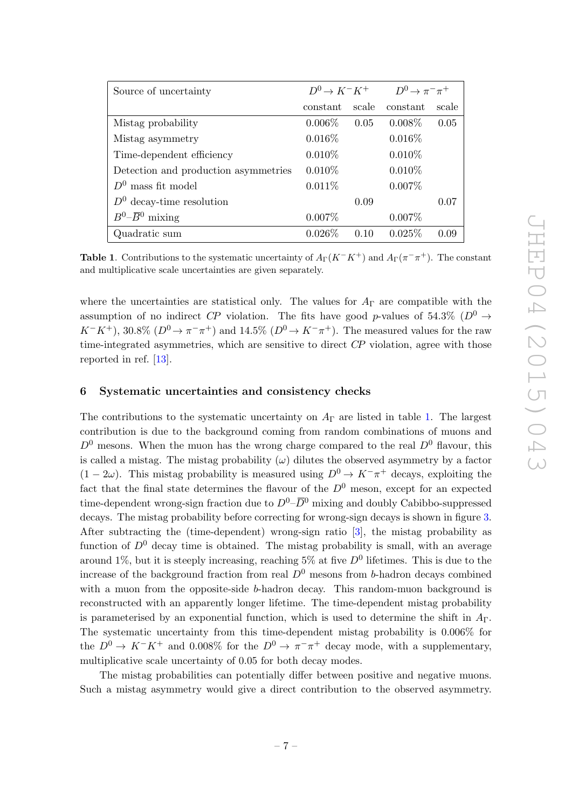| Source of uncertainty                | $D^0 \rightarrow K^-K^+$ $D^0 \rightarrow \pi^- \pi^+$ |       |           |       |
|--------------------------------------|--------------------------------------------------------|-------|-----------|-------|
|                                      | constant                                               | scale | constant  | scale |
| Mistag probability                   | $0.006\%$                                              | 0.05  | $0.008\%$ | 0.05  |
| Mistag asymmetry                     | $0.016\%$                                              |       | $0.016\%$ |       |
| Time-dependent efficiency            | $0.010\%$                                              |       | $0.010\%$ |       |
| Detection and production asymmetries | $0.010\%$                                              |       | $0.010\%$ |       |
| $D^0$ mass fit model                 | 0.011%                                                 |       | $0.007\%$ |       |
| $D^0$ decay-time resolution          |                                                        | 0.09  |           | 0.07  |
| $B^0$ - $\overline{B}{}^0$ mixing    | $0.007\%$                                              |       | $0.007\%$ |       |
| Quadratic sum                        | $0.026\%$                                              | 0.10  | 0.025%    | 0.09  |

<span id="page-7-1"></span>**Table 1**. Contributions to the systematic uncertainty of  $A_{\Gamma}(K^-K^+)$  and  $A_{\Gamma}(\pi^-\pi^+)$ . The constant and multiplicative scale uncertainties are given separately.

where the uncertainties are statistical only. The values for  $A_{\Gamma}$  are compatible with the assumption of no indirect CP violation. The fits have good p-values of 54.3% ( $D^0 \rightarrow$  $K^-K^+$ ), 30.8% ( $D^0 \to \pi^- \pi^+$ ) and 14.5% ( $D^0 \to K^- \pi^+$ ). The measured values for the raw time-integrated asymmetries, which are sensitive to direct CP violation, agree with those reported in ref. [\[13\]](#page-12-1).

## <span id="page-7-0"></span>6 Systematic uncertainties and consistency checks

The contributions to the systematic uncertainty on  $A_{\Gamma}$  are listed in table [1.](#page-7-1) The largest contribution is due to the background coming from random combinations of muons and  $D^0$  mesons. When the muon has the wrong charge compared to the real  $D^0$  flavour, this is called a mistag. The mistag probability  $(\omega)$  dilutes the observed asymmetry by a factor  $(1 - 2\omega)$ . This mistag probability is measured using  $D^0 \to K^-\pi^+$  decays, exploiting the fact that the final state determines the flavour of the  $D^0$  meson, except for an expected time-dependent wrong-sign fraction due to  $D^0$ – $\overline{D}{}^0$  mixing and doubly Cabibbo-suppressed decays. The mistag probability before correcting for wrong-sign decays is shown in figure [3.](#page-8-0) After subtracting the (time-dependent) wrong-sign ratio [\[3\]](#page-11-7), the mistag probability as function of  $D^0$  decay time is obtained. The mistag probability is small, with an average around 1%, but it is steeply increasing, reaching 5% at five  $D^0$  lifetimes. This is due to the increase of the background fraction from real  $D^0$  mesons from b-hadron decays combined with a muon from the opposite-side b-hadron decay. This random-muon background is reconstructed with an apparently longer lifetime. The time-dependent mistag probability is parameterised by an exponential function, which is used to determine the shift in  $A_{\Gamma}$ . The systematic uncertainty from this time-dependent mistag probability is 0.006% for the  $D^0 \to K^-K^+$  and 0.008% for the  $D^0 \to \pi^-\pi^+$  decay mode, with a supplementary, multiplicative scale uncertainty of 0.05 for both decay modes.

The mistag probabilities can potentially differ between positive and negative muons. Such a mistag asymmetry would give a direct contribution to the observed asymmetry.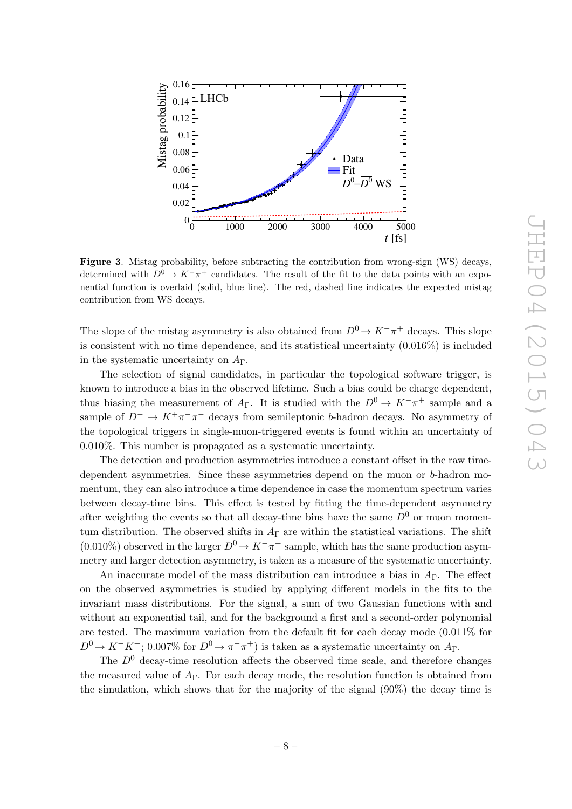

<span id="page-8-0"></span>Figure 3. Mistag probability, before subtracting the contribution from wrong-sign (WS) decays, determined with  $D^0 \to K^-\pi^+$  candidates. The result of the fit to the data points with an exponential function is overlaid (solid, blue line). The red, dashed line indicates the expected mistag contribution from WS decays.

The slope of the mistag asymmetry is also obtained from  $D^0 \to K^-\pi^+$  decays. This slope is consistent with no time dependence, and its statistical uncertainty (0.016%) is included in the systematic uncertainty on  $A_{\Gamma}$ .

The selection of signal candidates, in particular the topological software trigger, is known to introduce a bias in the observed lifetime. Such a bias could be charge dependent, thus biasing the measurement of  $A_{\Gamma}$ . It is studied with the  $D^0 \to K^-\pi^+$  sample and a sample of  $D^- \to K^+\pi^-\pi^-$  decays from semileptonic b-hadron decays. No asymmetry of the topological triggers in single-muon-triggered events is found within an uncertainty of 0.010%. This number is propagated as a systematic uncertainty.

The detection and production asymmetries introduce a constant offset in the raw timedependent asymmetries. Since these asymmetries depend on the muon or b-hadron momentum, they can also introduce a time dependence in case the momentum spectrum varies between decay-time bins. This effect is tested by fitting the time-dependent asymmetry after weighting the events so that all decay-time bins have the same  $D^0$  or muon momentum distribution. The observed shifts in  $A_{\Gamma}$  are within the statistical variations. The shift  $(0.010\%)$  observed in the larger  $D^0 \to K^-\pi^+$  sample, which has the same production asymmetry and larger detection asymmetry, is taken as a measure of the systematic uncertainty.

An inaccurate model of the mass distribution can introduce a bias in  $A_{\Gamma}$ . The effect on the observed asymmetries is studied by applying different models in the fits to the invariant mass distributions. For the signal, a sum of two Gaussian functions with and without an exponential tail, and for the background a first and a second-order polynomial are tested. The maximum variation from the default fit for each decay mode (0.011% for  $D^0 \to K^-K^+$ ; 0.007% for  $D^0 \to \pi^- \pi^+$ ) is taken as a systematic uncertainty on  $A_{\Gamma}$ .

The  $D<sup>0</sup>$  decay-time resolution affects the observed time scale, and therefore changes the measured value of  $A_{\Gamma}$ . For each decay mode, the resolution function is obtained from the simulation, which shows that for the majority of the signal  $(90\%)$  the decay time is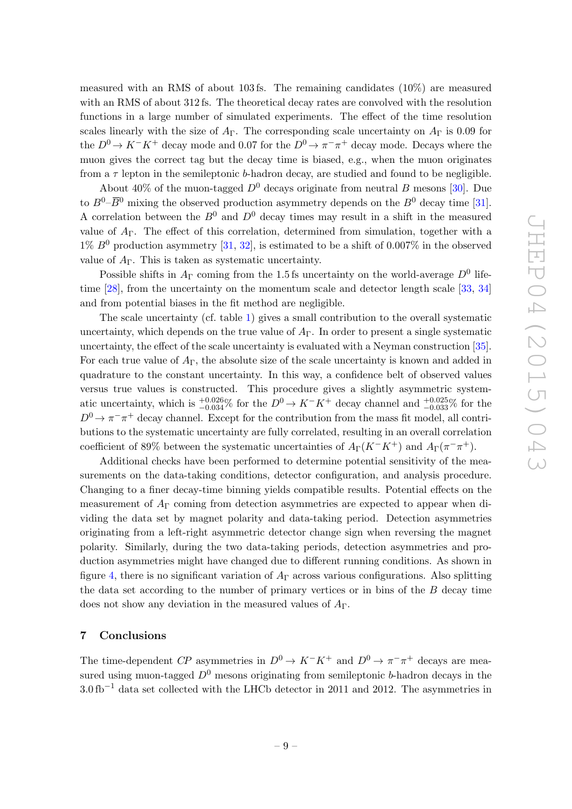measured with an RMS of about 103 fs. The remaining candidates (10%) are measured with an RMS of about 312 fs. The theoretical decay rates are convolved with the resolution functions in a large number of simulated experiments. The effect of the time resolution scales linearly with the size of  $A_{\Gamma}$ . The corresponding scale uncertainty on  $A_{\Gamma}$  is 0.09 for the  $D^0 \to K^-K^+$  decay mode and 0.07 for the  $D^0 \to \pi^-\pi^+$  decay mode. Decays where the muon gives the correct tag but the decay time is biased, e.g., when the muon originates from a  $\tau$  lepton in the semileptonic b-hadron decay, are studied and found to be negligible.

About 40% of the muon-tagged  $D^0$  decays originate from neutral B mesons [\[30\]](#page-12-18). Due to  $B^0$ – $\overline{B}{}^0$  mixing the observed production asymmetry depends on the  $B^0$  decay time [\[31\]](#page-13-0). A correlation between the  $B^0$  and  $D^0$  decay times may result in a shift in the measured value of  $A_{\Gamma}$ . The effect of this correlation, determined from simulation, together with a  $1\% B^{0}$  production asymmetry [\[31,](#page-13-0) [32\]](#page-13-1), is estimated to be a shift of 0.007% in the observed value of  $A_{\Gamma}$ . This is taken as systematic uncertainty.

Possible shifts in  $A_{\Gamma}$  coming from the 1.5 fs uncertainty on the world-average  $D^0$  life-time [\[28\]](#page-12-16), from the uncertainty on the momentum scale and detector length scale [\[33,](#page-13-2) [34\]](#page-13-3) and from potential biases in the fit method are negligible.

The scale uncertainty (cf. table [1\)](#page-7-1) gives a small contribution to the overall systematic uncertainty, which depends on the true value of  $A_{\Gamma}$ . In order to present a single systematic uncertainty, the effect of the scale uncertainty is evaluated with a Neyman construction [\[35\]](#page-13-4). For each true value of  $A_{\Gamma}$ , the absolute size of the scale uncertainty is known and added in quadrature to the constant uncertainty. In this way, a confidence belt of observed values versus true values is constructed. This procedure gives a slightly asymmetric systematic uncertainty, which is  $_{-0.034}^{+0.026}$ % for the  $D^0 \to K^-K^+$  decay channel and  $_{-0.033}^{+0.025}$ % for the  $D^0 \to \pi^- \pi^+$  decay channel. Except for the contribution from the mass fit model, all contributions to the systematic uncertainty are fully correlated, resulting in an overall correlation coefficient of 89% between the systematic uncertainties of  $A_{\Gamma}(K^-K^+)$  and  $A_{\Gamma}(\pi^-\pi^+)$ .

Additional checks have been performed to determine potential sensitivity of the measurements on the data-taking conditions, detector configuration, and analysis procedure. Changing to a finer decay-time binning yields compatible results. Potential effects on the measurement of  $A_{\Gamma}$  coming from detection asymmetries are expected to appear when dividing the data set by magnet polarity and data-taking period. Detection asymmetries originating from a left-right asymmetric detector change sign when reversing the magnet polarity. Similarly, during the two data-taking periods, detection asymmetries and production asymmetries might have changed due to different running conditions. As shown in figure [4,](#page-10-0) there is no significant variation of  $A<sub>\Gamma</sub>$  across various configurations. Also splitting the data set according to the number of primary vertices or in bins of the  $B$  decay time does not show any deviation in the measured values of  $A_{\Gamma}$ .

## <span id="page-9-0"></span>7 Conclusions

The time-dependent CP asymmetries in  $D^0 \to K^-K^+$  and  $D^0 \to \pi^- \pi^+$  decays are measured using muon-tagged  $D^0$  mesons originating from semileptonic b-hadron decays in the  $3.0 \text{ fb}^{-1}$  data set collected with the LHCb detector in 2011 and 2012. The asymmetries in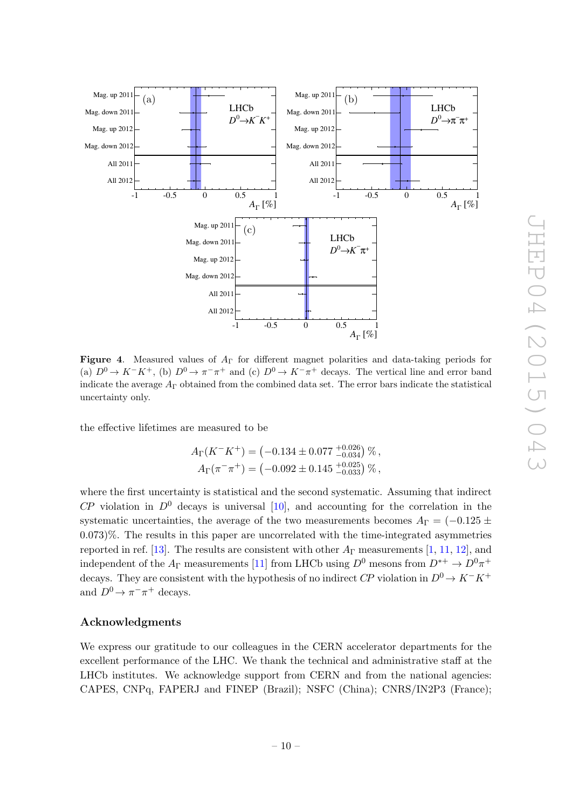

<span id="page-10-0"></span>Figure 4. Measured values of  $A_{\Gamma}$  for different magnet polarities and data-taking periods for (a)  $D^0 \to K^-K^+$ , (b)  $D^0 \to \pi^-\pi^+$  and (c)  $D^0 \to K^-\pi^+$  decays. The vertical line and error band indicate the average  $A_{\Gamma}$  obtained from the combined data set. The error bars indicate the statistical uncertainty only.

the effective lifetimes are measured to be

$$
A_{\Gamma}(K^{-}K^{+}) = (-0.134 \pm 0.077 \frac{+0.026}{-0.034}) \%,
$$
  

$$
A_{\Gamma}(\pi^{-}\pi^{+}) = (-0.092 \pm 0.145 \frac{+0.025}{-0.033}) \%,
$$

where the first uncertainty is statistical and the second systematic. Assuming that indirect  $\mathbb{CP}$  violation in  $\mathbb{D}^0$  decays is universal [\[10\]](#page-11-5), and accounting for the correlation in the systematic uncertainties, the average of the two measurements becomes  $A_{\Gamma} = (-0.125 \pm 0.125)$ 0.073)%. The results in this paper are uncorrelated with the time-integrated asymmetries reported in ref. [\[13\]](#page-12-1). The results are consistent with other  $A_{\Gamma}$  measurements [\[1,](#page-11-0) [11,](#page-11-6) [12\]](#page-12-0), and independent of the  $A_\Gamma$  measurements [\[11\]](#page-11-6) from LHCb using  $D^0$  mesons from  $D^{*+}\to D^0\pi^+$ decays. They are consistent with the hypothesis of no indirect  $\mathbb{CP}$  violation in  $D^0 \to K^-K^+$ and  $D^0 \to \pi^- \pi^+$  decays.

### Acknowledgments

We express our gratitude to our colleagues in the CERN accelerator departments for the excellent performance of the LHC. We thank the technical and administrative staff at the LHCb institutes. We acknowledge support from CERN and from the national agencies: CAPES, CNPq, FAPERJ and FINEP (Brazil); NSFC (China); CNRS/IN2P3 (France);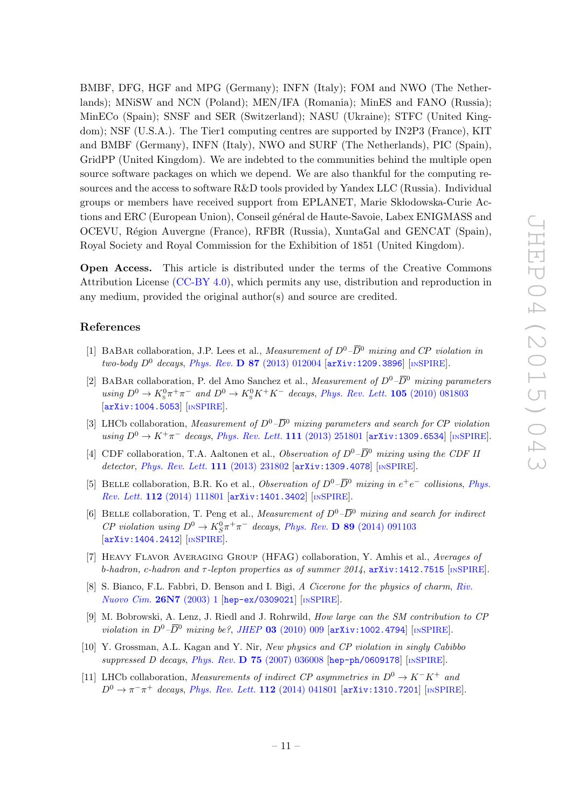BMBF, DFG, HGF and MPG (Germany); INFN (Italy); FOM and NWO (The Netherlands); MNiSW and NCN (Poland); MEN/IFA (Romania); MinES and FANO (Russia); MinECo (Spain); SNSF and SER (Switzerland); NASU (Ukraine); STFC (United Kingdom); NSF (U.S.A.). The Tier1 computing centres are supported by IN2P3 (France), KIT and BMBF (Germany), INFN (Italy), NWO and SURF (The Netherlands), PIC (Spain), GridPP (United Kingdom). We are indebted to the communities behind the multiple open source software packages on which we depend. We are also thankful for the computing resources and the access to software R&D tools provided by Yandex LLC (Russia). Individual groups or members have received support from EPLANET, Marie Skłodowska-Curie Actions and ERC (European Union), Conseil général de Haute-Savoie, Labex ENIGMASS and OCEVU, Région Auvergne (France), RFBR (Russia), XuntaGal and GENCAT (Spain), Royal Society and Royal Commission for the Exhibition of 1851 (United Kingdom).

Open Access. This article is distributed under the terms of the Creative Commons Attribution License [\(CC-BY 4.0\)](http://creativecommons.org/licenses/by/4.0/), which permits any use, distribution and reproduction in any medium, provided the original author(s) and source are credited.

## References

- <span id="page-11-0"></span>[1] BABAR collaboration, J.P. Lees et al., *Measurement of*  $D^0-\overline{D}^0$  mixing and CP violation in two-body  $D^0$  decays, Phys. Rev. **D 87** [\(2013\) 012004](http://dx.doi.org/10.1103/PhysRevD.87.012004)  $[$ [arXiv:1209.3896](http://arxiv.org/abs/1209.3896) $]$  [IN[SPIRE](http://inspirehep.net/search?p=find+EPRINT+arXiv:1209.3896)].
- [2] BABAR collaboration, P. del Amo Sanchez et al., *Measurement of*  $D^0$ – $\overline{D}^0$  mixing parameters using  $D^0 \to K^0_s \pi^+ \pi^-$  and  $D^0 \to K^0_s K^+ K^-$  decays, [Phys. Rev. Lett.](http://dx.doi.org/10.1103/PhysRevLett.105.081803) **105** (2010) 081803 [[arXiv:1004.5053](http://arxiv.org/abs/1004.5053)] [IN[SPIRE](http://inspirehep.net/search?p=find+EPRINT+arXiv:1004.5053)].
- <span id="page-11-7"></span>[3] LHCb collaboration, Measurement of  $D^0$ – $\overline{D}{}^0$  mixing parameters and search for CP violation using  $D^0$  →  $K^+\pi^-$  decays, [Phys. Rev. Lett.](http://dx.doi.org/10.1103/PhysRevLett.111.251801) 111 (2013) 251801 [[arXiv:1309.6534](http://arxiv.org/abs/1309.6534)] [IN[SPIRE](http://inspirehep.net/search?p=find+EPRINT+arXiv:1309.6534)].
- [4] CDF collaboration, T.A. Aaltonen et al., Observation of  $D^0-\overline{D}^0$  mixing using the CDF II detector, *[Phys. Rev. Lett.](http://dx.doi.org/10.1103/PhysRevLett.111.231802)* **111** (2013) 231802 [[arXiv:1309.4078](http://arxiv.org/abs/1309.4078)] [IN[SPIRE](http://inspirehep.net/search?p=find+EPRINT+arXiv:1309.4078)].
- [5] BELLE collaboration, B.R. Ko et al., Observation of  $D^0-\overline{D}{}^0$  mixing in  $e^+e^-$  collisions, [Phys.](http://dx.doi.org/10.1103/PhysRevLett.112.111801) Rev. Lett. 112 [\(2014\) 111801](http://dx.doi.org/10.1103/PhysRevLett.112.111801) [[arXiv:1401.3402](http://arxiv.org/abs/1401.3402)] [IN[SPIRE](http://inspirehep.net/search?p=find+EPRINT+arXiv:1401.3402)].
- <span id="page-11-1"></span>[6] BELLE collaboration, T. Peng et al., *Measurement of*  $D^0$ – $\overline{D}^0$  mixing and search for indirect *CP* violation using  $D^0 \to K_S^0 \pi^+ \pi^-$  decays, *Phys. Rev.* **D 89** [\(2014\) 091103](http://dx.doi.org/10.1103/PhysRevD.89.091103) [[arXiv:1404.2412](http://arxiv.org/abs/1404.2412)] [IN[SPIRE](http://inspirehep.net/search?p=find+EPRINT+arXiv:1404.2412)].
- <span id="page-11-2"></span>[7] Heavy Flavor Averaging Group (HFAG) collaboration, Y. Amhis et al., Averages of b-hadron, c-hadron and  $\tau$ -lepton properties as of summer 2014,  $arXiv:1412.7515$  [IN[SPIRE](http://inspirehep.net/search?p=find+EPRINT+arXiv:1412.7515)].
- <span id="page-11-3"></span>[8] S. Bianco, F.L. Fabbri, D. Benson and I. Bigi, A Cicerone for the physics of charm, [Riv.](http://dx.doi.org/10.1393/ncr/i2003-10003-1) [Nuovo Cim.](http://dx.doi.org/10.1393/ncr/i2003-10003-1) 26N7 (2003) 1 [[hep-ex/0309021](http://arxiv.org/abs/hep-ex/0309021)] [IN[SPIRE](http://inspirehep.net/search?p=find+EPRINT+hep-ex/0309021)].
- <span id="page-11-4"></span>[9] M. Bobrowski, A. Lenz, J. Riedl and J. Rohrwild, How large can the SM contribution to CP violation in  $D^0$ – $\bar{D}^0$  mixing be?, JHEP 03 [\(2010\) 009](http://dx.doi.org/10.1007/JHEP03(2010)009) [[arXiv:1002.4794](http://arxiv.org/abs/1002.4794)] [IN[SPIRE](http://inspirehep.net/search?p=find+EPRINT+arXiv:1002.4794)].
- <span id="page-11-5"></span>[10] Y. Grossman, A.L. Kagan and Y. Nir, New physics and CP violation in singly Cabibbo suppressed D decays, Phys. Rev.  $D$  75 [\(2007\) 036008](http://dx.doi.org/10.1103/PhysRevD.75.036008) [[hep-ph/0609178](http://arxiv.org/abs/hep-ph/0609178)] [IN[SPIRE](http://inspirehep.net/search?p=find+EPRINT+hep-ph/0609178)].
- <span id="page-11-6"></span>[11] LHCb collaboration, Measurements of indirect CP asymmetries in  $D^0 \to K^-K^+$  and  $D^0 \to \pi^- \pi^+$  decays, [Phys. Rev. Lett.](http://dx.doi.org/10.1103/PhysRevLett.112.041801) 112 (2014) 041801 [[arXiv:1310.7201](http://arxiv.org/abs/1310.7201)] [IN[SPIRE](http://inspirehep.net/search?p=find+EPRINT+arXiv:1310.7201)].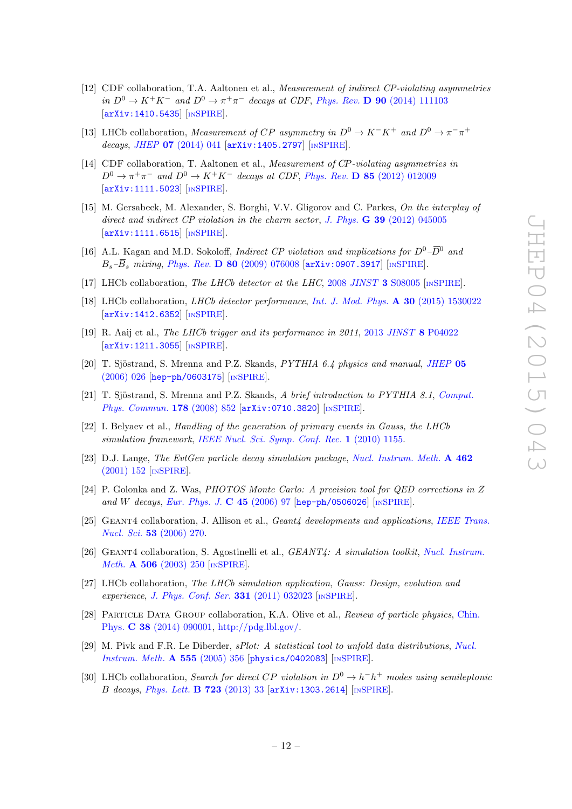- <span id="page-12-0"></span>[12] CDF collaboration, T.A. Aaltonen et al., Measurement of indirect CP-violating asymmetries in  $D^0 \to K^+K^-$  and  $D^0 \to \pi^+\pi^-$  decays at CDF, Phys. Rev. **D** 90 [\(2014\) 111103](http://dx.doi.org/10.1103/PhysRevD.90.111103) [[arXiv:1410.5435](http://arxiv.org/abs/1410.5435)] [IN[SPIRE](http://inspirehep.net/search?p=find+EPRINT+arXiv:1410.5435)].
- <span id="page-12-1"></span>[13] LHCb collaboration, Measurement of CP asymmetry in  $D^0 \to K^-K^+$  and  $D^0 \to \pi^- \pi^+$ decays, JHEP  $07$  [\(2014\) 041](http://dx.doi.org/10.1007/JHEP07(2014)041) [[arXiv:1405.2797](http://arxiv.org/abs/1405.2797)] [IN[SPIRE](http://inspirehep.net/search?p=find+EPRINT+arXiv:1405.2797)].
- <span id="page-12-2"></span>[14] CDF collaboration, T. Aaltonen et al., Measurement of CP-violating asymmetries in  $D^0 \rightarrow \pi^+\pi^-$  and  $D^0 \rightarrow K^+K^-$  decays at CDF, Phys. Rev. **D 85** [\(2012\) 012009](http://dx.doi.org/10.1103/PhysRevD.85.012009) [[arXiv:1111.5023](http://arxiv.org/abs/1111.5023)] [IN[SPIRE](http://inspirehep.net/search?p=find+EPRINT+arXiv:1111.5023)].
- <span id="page-12-3"></span>[15] M. Gersabeck, M. Alexander, S. Borghi, V.V. Gligorov and C. Parkes, On the interplay of direct and indirect CP violation in the charm sector, J. Phys.  $\bf{G}$  39 [\(2012\) 045005](http://dx.doi.org/10.1088/0954-3899/39/4/045005) [[arXiv:1111.6515](http://arxiv.org/abs/1111.6515)] [IN[SPIRE](http://inspirehep.net/search?p=find+EPRINT+arXiv:1111.6515)].
- <span id="page-12-4"></span>[16] A.L. Kagan and M.D. Sokoloff, *Indirect CP violation and implications for*  $D^0-\overline{D}^0$  and  $B_s-\overline{B}_s$  mixing, Phys. Rev. **D** 80 [\(2009\) 076008](http://dx.doi.org/10.1103/PhysRevD.80.076008) [[arXiv:0907.3917](http://arxiv.org/abs/0907.3917)] [IN[SPIRE](http://inspirehep.net/search?p=find+EPRINT+arXiv:0907.3917)].
- <span id="page-12-5"></span>[17] LHCb collaboration, The LHCb detector at the LHC, 2008 JINST 3 [S08005](http://dx.doi.org/10.1088/1748-0221/3/08/S08005) [IN[SPIRE](http://inspirehep.net/search?p=find+J+JINST,3,S08005)].
- <span id="page-12-6"></span>[18] LHCb collaboration, LHCb detector performance, [Int. J. Mod. Phys.](http://dx.doi.org/10.1142/S0217751X15300227) A 30 (2015) 1530022 [[arXiv:1412.6352](http://arxiv.org/abs/1412.6352)] [IN[SPIRE](http://inspirehep.net/search?p=find+EPRINT+arXiv:1412.6352)].
- <span id="page-12-7"></span>[19] R. Aaij et al., The LHCb trigger and its performance in 2011, 2013 JINST 8 [P04022](http://dx.doi.org/10.1088/1748-0221/8/04/P04022) [[arXiv:1211.3055](http://arxiv.org/abs/1211.3055)] [IN[SPIRE](http://inspirehep.net/search?p=find+EPRINT+arXiv:1211.3055)].
- <span id="page-12-8"></span>[20] T. Sjöstrand, S. Mrenna and P.Z. Skands,  $PYTHIA$  6.4 physics and manual, [JHEP](http://dx.doi.org/10.1088/1126-6708/2006/05/026) 05 [\(2006\) 026](http://dx.doi.org/10.1088/1126-6708/2006/05/026) [[hep-ph/0603175](http://arxiv.org/abs/hep-ph/0603175)] [IN[SPIRE](http://inspirehep.net/search?p=find+EPRINT+hep-ph/0603175)].
- <span id="page-12-9"></span>[21] T. Sjöstrand, S. Mrenna and P.Z. Skands, A brief introduction to PYTHIA 8.1, [Comput.](http://dx.doi.org/10.1016/j.cpc.2008.01.036) [Phys. Commun.](http://dx.doi.org/10.1016/j.cpc.2008.01.036) 178 (2008) 852 [[arXiv:0710.3820](http://arxiv.org/abs/0710.3820)] [IN[SPIRE](http://inspirehep.net/search?p=find+EPRINT+arXiv:0710.3820)].
- <span id="page-12-10"></span>[22] I. Belyaev et al., Handling of the generation of primary events in Gauss, the LHCb simulation framework, [IEEE Nucl. Sci. Symp. Conf. Rec.](http://dx.doi.org/10.1109/NSSMIC.2010.5873949) 1 (2010) 1155.
- <span id="page-12-11"></span>[23] D.J. Lange, The EvtGen particle decay simulation package, [Nucl. Instrum. Meth.](http://dx.doi.org/10.1016/S0168-9002(01)00089-4) A 462 [\(2001\) 152](http://dx.doi.org/10.1016/S0168-9002(01)00089-4) [IN[SPIRE](http://inspirehep.net/search?p=find+J+Nucl.Instrum.Meth.,A462,152)].
- <span id="page-12-12"></span>[24] P. Golonka and Z. Was, PHOTOS Monte Carlo: A precision tool for QED corrections in Z and W decays, [Eur. Phys. J.](http://dx.doi.org/10.1140/epjc/s2005-02396-4)  $C$  45 (2006) 97 [[hep-ph/0506026](http://arxiv.org/abs/hep-ph/0506026)] [IN[SPIRE](http://inspirehep.net/search?p=find+EPRINT+hep-ph/0506026)].
- <span id="page-12-13"></span>[25] GEANT4 collaboration, J. Allison et al., *Geant4 developments and applications, [IEEE Trans.](http://dx.doi.org/10.1109/TNS.2006.869826)* Nucl. Sci. 53 [\(2006\) 270.](http://dx.doi.org/10.1109/TNS.2006.869826)
- <span id="page-12-14"></span>[26] GEANT4 collaboration, S. Agostinelli et al., *GEANT4: A simulation toolkit, [Nucl. Instrum.](http://dx.doi.org/10.1016/S0168-9002(03)01368-8)* Meth. **A 506** [\(2003\) 250](http://dx.doi.org/10.1016/S0168-9002(03)01368-8) [IN[SPIRE](http://inspirehep.net/search?p=find+J+Nucl.Instrum.Meth.,A506,250)].
- <span id="page-12-15"></span>[27] LHCb collaboration, The LHCb simulation application, Gauss: Design, evolution and experience, [J. Phys. Conf. Ser.](http://dx.doi.org/10.1088/1742-6596/331/3/032023) 331 (2011) 032023 [IN[SPIRE](http://inspirehep.net/search?p=find+J+J.Phys.Conf.Ser.,331,032023)].
- <span id="page-12-16"></span>[28] Particle Data Group collaboration, K.A. Olive et al., Review of particle physics, [Chin.](http://dx.doi.org/10.1088/1674-1137/38/9/090001) Phys. C 38 [\(2014\) 090001,](http://dx.doi.org/10.1088/1674-1137/38/9/090001) [http://pdg.lbl.gov/.](http://pdg.lbl.gov/)
- <span id="page-12-17"></span>[29] M. Pivk and F.R. Le Diberder, sPlot: A statistical tool to unfold data distributions, [Nucl.](http://dx.doi.org/10.1016/j.nima.2005.08.106) [Instrum. Meth.](http://dx.doi.org/10.1016/j.nima.2005.08.106) A 555 (2005) 356 [[physics/0402083](http://arxiv.org/abs/physics/0402083)] [IN[SPIRE](http://inspirehep.net/search?p=find+EPRINT+physics/0402083)].
- <span id="page-12-18"></span>[30] LHCb collaboration, Search for direct CP violation in  $D^0 \to h^-h^+$  modes using semileptonic B decays, [Phys. Lett.](http://dx.doi.org/10.1016/j.physletb.2013.04.061) **B 723** (2013) 33  $\left[ \text{arXiv:1303.2614} \right]$  $\left[ \text{arXiv:1303.2614} \right]$  $\left[ \text{arXiv:1303.2614} \right]$   $\left[ \text{insPIRE} \right]$ .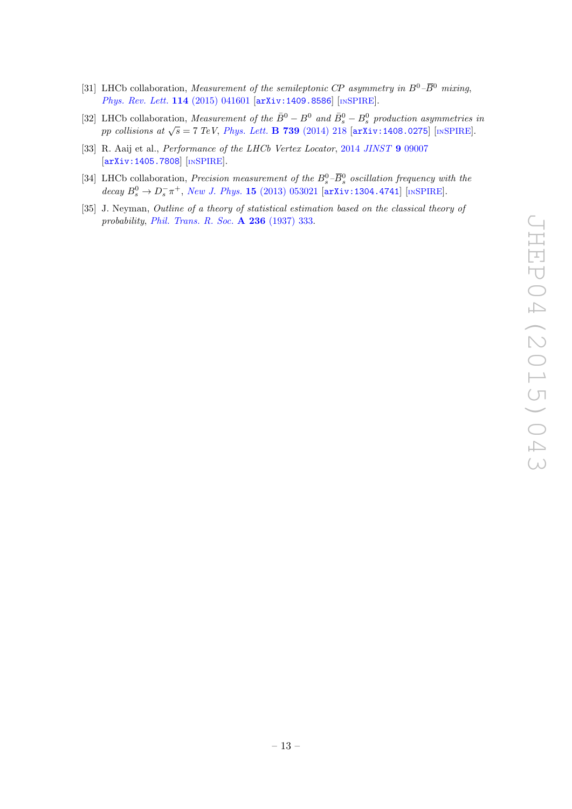- <span id="page-13-0"></span>[31] LHCb collaboration, Measurement of the semileptonic CP asymmetry in  $B^0$ – $\overline{B}{}^0$  mixing, [Phys. Rev. Lett.](http://dx.doi.org/10.1103/PhysRevLett.114.041601) 114 (2015) 041601 [[arXiv:1409.8586](http://arxiv.org/abs/1409.8586)] [IN[SPIRE](http://inspirehep.net/search?p=find+EPRINT+arXiv:1409.8586)].
- <span id="page-13-1"></span>[32] LHCb collaboration, Measurement of the  $\bar{B}^0 - B^0$  and  $\bar{B}^0_s - B^0_s$  production asymmetries in pp collisions at  $\sqrt{s} = 7$  TeV, [Phys. Lett.](http://dx.doi.org/10.1016/j.physletb.2014.10.005) B 739 (2014) 218 [[arXiv:1408.0275](http://arxiv.org/abs/1408.0275)] [IN[SPIRE](http://inspirehep.net/search?p=find+EPRINT+arXiv:1408.0275)].
- <span id="page-13-2"></span>[33] R. Aaij et al., *Performance of the LHCb Vertex Locator*, 2014 [JINST](http://dx.doi.org/10.1088/1748-0221/9/90/09007) 9 09007 [[arXiv:1405.7808](http://arxiv.org/abs/1405.7808)] [IN[SPIRE](http://inspirehep.net/search?p=find+EPRINT+arXiv:1405.7808)].
- <span id="page-13-3"></span>[34] LHCb collaboration, *Precision measurement of the*  $B_s^0$ - $\overline{B}_s^0$  *oscillation frequency with the* decay  $B_s^0 \to D_s^- \pi^+$ , New J. Phys. 15 [\(2013\) 053021](http://dx.doi.org/10.1088/1367-2630/15/5/053021) [[arXiv:1304.4741](http://arxiv.org/abs/1304.4741)] [IN[SPIRE](http://inspirehep.net/search?p=find+EPRINT+arXiv:1304.4741)].
- <span id="page-13-4"></span>[35] J. Neyman, Outline of a theory of statistical estimation based on the classical theory of probability, [Phil. Trans. R. Soc.](http://dx.doi.org/10.1098/rsta.1937.0005) A 236 (1937) 333.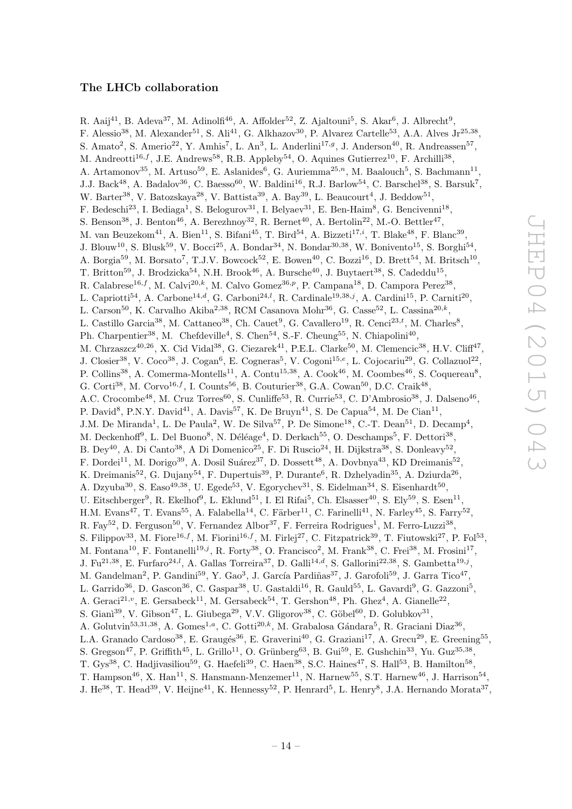## The LHCb collaboration

<span id="page-14-0"></span>R. Aaij $^{41}$ , B. Adeva $^{37}$ , M. Adinolfi $^{46}$ , A. Affolder $^{52}$ , Z. Ajaltouni $^5$ , S. Akar $^6$ , J. Albrecht $^9$ , F. Alessio<sup>38</sup>, M. Alexander<sup>51</sup>, S. Ali<sup>41</sup>, G. Alkhazov<sup>30</sup>, P. Alvarez Cartelle<sup>53</sup>, A.A. Alves Jr<sup>25,38</sup>, S. Amato<sup>2</sup>, S. Amerio<sup>22</sup>, Y. Amhis<sup>7</sup>, L. An<sup>3</sup>, L. Anderlini<sup>17,g</sup>, J. Anderson<sup>40</sup>, R. Andreassen<sup>57</sup>, M. Andreotti<sup>16,f</sup>, J.E. Andrews<sup>58</sup>, R.B. Appleby<sup>54</sup>, O. Aquines Gutierrez<sup>10</sup>, F. Archilli<sup>38</sup>, A. Artamonov<sup>35</sup>, M. Artuso<sup>59</sup>, E. Aslanides<sup>6</sup>, G. Auriemma<sup>25,n</sup>, M. Baalouch<sup>5</sup>, S. Bachmann<sup>11</sup>, J.J. Back<sup>48</sup>, A. Badalov<sup>36</sup>, C. Baesso<sup>60</sup>, W. Baldini<sup>16</sup>, R.J. Barlow<sup>54</sup>, C. Barschel<sup>38</sup>, S. Barsuk<sup>7</sup>, W. Barter<sup>38</sup>, V. Batozskaya<sup>28</sup>, V. Battista<sup>39</sup>, A. Bay<sup>39</sup>, L. Beaucourt<sup>4</sup>, J. Beddow<sup>51</sup>, F. Bedeschi<sup>23</sup>, I. Bediaga<sup>1</sup>, S. Belogurov<sup>31</sup>, I. Belyaev<sup>31</sup>, E. Ben-Haim<sup>8</sup>, G. Bencivenni<sup>18</sup>, S. Benson<sup>38</sup>, J. Benton<sup>46</sup>, A. Berezhnoy<sup>32</sup>, R. Bernet<sup>40</sup>, A. Bertolin<sup>22</sup>, M.-O. Bettler<sup>47</sup>, M. van Beuzekom<sup>41</sup>, A. Bien<sup>11</sup>, S. Bifani<sup>45</sup>, T. Bird<sup>54</sup>, A. Bizzeti<sup>17,*i*</sup>, T. Blake<sup>48</sup>, F. Blanc<sup>39</sup>, J. Blouw<sup>10</sup>, S. Blusk<sup>59</sup>, V. Bocci<sup>25</sup>, A. Bondar<sup>34</sup>, N. Bondar<sup>30,38</sup>, W. Bonivento<sup>15</sup>, S. Borghi<sup>54</sup>, A. Borgia<sup>59</sup>, M. Borsato<sup>7</sup>, T.J.V. Bowcock<sup>52</sup>, E. Bowen<sup>40</sup>, C. Bozzi<sup>16</sup>, D. Brett<sup>54</sup>, M. Britsch<sup>10</sup>, T. Britton<sup>59</sup>, J. Brodzicka<sup>54</sup>, N.H. Brook<sup>46</sup>, A. Bursche<sup>40</sup>, J. Buytaert<sup>38</sup>, S. Cadeddu<sup>15</sup>, R. Calabrese<sup>16,f</sup>, M. Calvi<sup>20,k</sup>, M. Calvo Gomez<sup>36,p</sup>, P. Campana<sup>18</sup>, D. Campora Perez<sup>38</sup>, L. Capriotti<sup>54</sup>, A. Carbone<sup>14,d</sup>, G. Carboni<sup>24,l</sup>, R. Cardinale<sup>19,38,j</sup>, A. Cardini<sup>15</sup>, P. Carniti<sup>20</sup>, L. Carson<sup>50</sup>, K. Carvalho Akiba<sup>2,38</sup>, RCM Casanova Mohr<sup>36</sup>, G. Casse<sup>52</sup>, L. Cassina<sup>20,k</sup>, L. Castillo Garcia<sup>38</sup>, M. Cattaneo<sup>38</sup>, Ch. Cauet<sup>9</sup>, G. Cavallero<sup>19</sup>, R. Cenci<sup>23,t</sup>, M. Charles<sup>8</sup>, Ph. Charpentier<sup>38</sup>, M. Chefdeville<sup>4</sup>, S. Chen<sup>54</sup>, S.-F. Cheung<sup>55</sup>, N. Chiapolini<sup>40</sup>, M. Chrzaszcz<sup>40,26</sup>, X. Cid Vidal<sup>38</sup>, G. Ciezarek<sup>41</sup>, P.E.L. Clarke<sup>50</sup>, M. Clemencic<sup>38</sup>, H.V. Cliff<sup>47</sup>, J. Closier<sup>38</sup>, V. Coco<sup>38</sup>, J. Cogan<sup>6</sup>, E. Cogneras<sup>5</sup>, V. Cogoni<sup>15,e</sup>, L. Cojocariu<sup>29</sup>, G. Collazuol<sup>22</sup>, P. Collins<sup>38</sup>, A. Comerma-Montells<sup>11</sup>, A. Contu<sup>15,38</sup>, A. Cook<sup>46</sup>, M. Coombes<sup>46</sup>, S. Coquereau<sup>8</sup>, G. Corti<sup>38</sup>, M. Corvo<sup>16,f</sup>, I. Counts<sup>56</sup>, B. Couturier<sup>38</sup>, G.A. Cowan<sup>50</sup>, D.C. Craik<sup>48</sup>, A.C. Crocombe<sup>48</sup>, M. Cruz Torres<sup>60</sup>, S. Cunliffe<sup>53</sup>, R. Currie<sup>53</sup>, C. D'Ambrosio<sup>38</sup>, J. Dalseno<sup>46</sup>, P. David<sup>8</sup>, P.N.Y. David<sup>41</sup>, A. Davis<sup>57</sup>, K. De Bruyn<sup>41</sup>, S. De Capua<sup>54</sup>, M. De Cian<sup>11</sup>, J.M. De Miranda<sup>1</sup>, L. De Paula<sup>2</sup>, W. De Silva<sup>57</sup>, P. De Simone<sup>18</sup>, C.-T. Dean<sup>51</sup>, D. Decamp<sup>4</sup>, M. Deckenhoff<sup>9</sup>, L. Del Buono<sup>8</sup>, N. Déléage<sup>4</sup>, D. Derkach<sup>55</sup>, O. Deschamps<sup>5</sup>, F. Dettori<sup>38</sup>, B. Dey<sup>40</sup>, A. Di Canto<sup>38</sup>, A Di Domenico<sup>25</sup>, F. Di Ruscio<sup>24</sup>, H. Dijkstra<sup>38</sup>, S. Donleavy<sup>52</sup>, F. Dordei<sup>11</sup>, M. Dorigo<sup>39</sup>, A. Dosil Suárez<sup>37</sup>, D. Dossett<sup>48</sup>, A. Dovbnya<sup>43</sup>, KD Dreimanis<sup>52</sup>, K. Dreimanis<sup>52</sup>, G. Dujany<sup>54</sup>, F. Dupertuis<sup>39</sup>, P. Durante<sup>6</sup>, R. Dzhelyadin<sup>35</sup>, A. Dziurda<sup>26</sup>, A. Dzyuba<sup>30</sup>, S. Easo<sup>49,38</sup>, U. Egede<sup>53</sup>, V. Egorychev<sup>31</sup>, S. Eidelman<sup>34</sup>, S. Eisenhardt<sup>50</sup>, U. Eitschberger<sup>9</sup>, R. Ekelhof<sup>9</sup>, L. Eklund<sup>51</sup>, I. El Rifai<sup>5</sup>, Ch. Elsasser<sup>40</sup>, S. Ely<sup>59</sup>, S. Esen<sup>11</sup>, H.M. Evans<sup>47</sup>, T. Evans<sup>55</sup>, A. Falabella<sup>14</sup>, C. Färber<sup>11</sup>, C. Farinelli<sup>41</sup>, N. Farley<sup>45</sup>, S. Farry<sup>52</sup>, R. Fay<sup>52</sup>, D. Ferguson<sup>50</sup>, V. Fernandez Albor<sup>37</sup>, F. Ferreira Rodrigues<sup>1</sup>, M. Ferro-Luzzi<sup>38</sup>, S. Filippov<sup>33</sup>, M. Fiore<sup>16,f</sup>, M. Fiorini<sup>16,f</sup>, M. Firlej<sup>27</sup>, C. Fitzpatrick<sup>39</sup>, T. Fiutowski<sup>27</sup>, P. Fol<sup>53</sup>, M. Fontana<sup>10</sup>, F. Fontanelli<sup>19,j</sup>, R. Forty<sup>38</sup>, O. Francisco<sup>2</sup>, M. Frank<sup>38</sup>, C. Frei<sup>38</sup>, M. Frosini<sup>17</sup>, J. Fu<sup>21,38</sup>, E. Furfaro<sup>24,*l*</sup>, A. Gallas Torreira<sup>37</sup>, D. Galli<sup>14,*d*</sup>, S. Gallorini<sup>22,38</sup>, S. Gambetta<sup>19,j</sup>, M. Gandelman<sup>2</sup>, P. Gandini<sup>59</sup>, Y. Gao<sup>3</sup>, J. García Pardiñas<sup>37</sup>, J. Garofoli<sup>59</sup>, J. Garra Tico<sup>47</sup>, L. Garrido<sup>36</sup>, D. Gascon<sup>36</sup>, C. Gaspar<sup>38</sup>, U. Gastaldi<sup>16</sup>, R. Gauld<sup>55</sup>, L. Gavardi<sup>9</sup>, G. Gazzoni<sup>5</sup>, A. Geraci<sup>21,</sup><sup>v</sup>, E. Gersabeck<sup>11</sup>, M. Gersabeck<sup>54</sup>, T. Gershon<sup>48</sup>, Ph. Ghez<sup>4</sup>, A. Gianelle<sup>22</sup>, S. Giani<sup>39</sup>, V. Gibson<sup>47</sup>, L. Giubega<sup>29</sup>, V.V. Gligorov<sup>38</sup>, C. Göbel<sup>60</sup>, D. Golubkov<sup>31</sup>, A. Golutvin<sup>53,31,38</sup>, A. Gomes<sup>1,a</sup>, C. Gotti<sup>20,k</sup>, M. Grabalosa Gándara<sup>5</sup>, R. Graciani Diaz<sup>36</sup>, L.A. Granado Cardoso<sup>38</sup>, E. Graugés<sup>36</sup>, E. Graverini<sup>40</sup>, G. Graziani<sup>17</sup>, A. Grecu<sup>29</sup>, E. Greening<sup>55</sup>, S. Gregson<sup>47</sup>, P. Griffith<sup>45</sup>, L. Grillo<sup>11</sup>, O. Grünberg<sup>63</sup>, B. Gui<sup>59</sup>, E. Gushchin<sup>33</sup>, Yu. Guz<sup>35,38</sup>, T. Gys<sup>38</sup>, C. Hadjivasiliou<sup>59</sup>, G. Haefeli<sup>39</sup>, C. Haen<sup>38</sup>, S.C. Haines<sup>47</sup>, S. Hall<sup>53</sup>, B. Hamilton<sup>58</sup>, T. Hampson<sup>46</sup>, X. Han<sup>11</sup>, S. Hansmann-Menzemer<sup>11</sup>, N. Harnew<sup>55</sup>, S.T. Harnew<sup>46</sup>, J. Harrison<sup>54</sup>, J. He<sup>38</sup>, T. Head<sup>39</sup>, V. Heijne<sup>41</sup>, K. Hennessy<sup>52</sup>, P. Henrard<sup>5</sup>, L. Henry<sup>8</sup>, J.A. Hernando Morata<sup>37</sup>,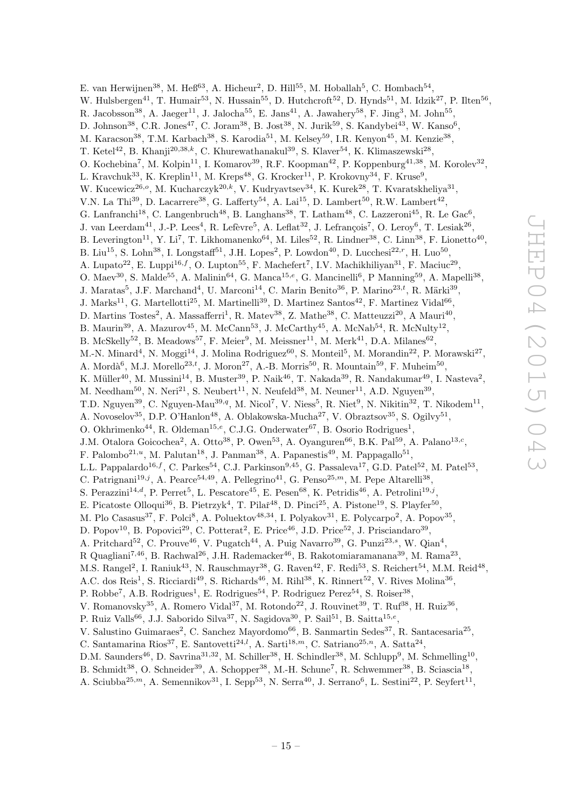E. van Herwijnen<sup>38</sup>, M. Heß<sup>63</sup>, A. Hicheur<sup>2</sup>, D. Hill<sup>55</sup>, M. Hoballah<sup>5</sup>, C. Hombach<sup>54</sup>, W. Hulsbergen<sup>41</sup>, T. Humair<sup>53</sup>, N. Hussain<sup>55</sup>, D. Hutchcroft<sup>52</sup>, D. Hynds<sup>51</sup>, M. Idzik<sup>27</sup>, P. Ilten<sup>56</sup>, R. Jacobsson<sup>38</sup>, A. Jaeger<sup>11</sup>, J. Jalocha<sup>55</sup>, E. Jans<sup>41</sup>, A. Jawahery<sup>58</sup>, F. Jing<sup>3</sup>, M. John<sup>55</sup>, D. Johnson<sup>38</sup>, C.R. Jones<sup>47</sup>, C. Joram<sup>38</sup>, B. Jost<sup>38</sup>, N. Jurik<sup>59</sup>, S. Kandybei<sup>43</sup>, W. Kanso<sup>6</sup>, M. Karacson<sup>38</sup>, T.M. Karbach<sup>38</sup>, S. Karodia<sup>51</sup>, M. Kelsey<sup>59</sup>, I.R. Kenyon<sup>45</sup>, M. Kenzie<sup>38</sup>, T. Ketel<sup>42</sup>, B. Khanji<sup>20,38,k</sup>, C. Khurewathanakul<sup>39</sup>, S. Klaver<sup>54</sup>, K. Klimaszewski<sup>28</sup>, O. Kochebina<sup>7</sup>, M. Kolpin<sup>11</sup>, I. Komarov<sup>39</sup>, R.F. Koopman<sup>42</sup>, P. Koppenburg<sup>41,38</sup>, M. Korolev<sup>32</sup>, L. Kravchuk<sup>33</sup>, K. Kreplin<sup>11</sup>, M. Kreps<sup>48</sup>, G. Krocker<sup>11</sup>, P. Krokovny<sup>34</sup>, F. Kruse<sup>9</sup>, W. Kucewicz<sup>26,o</sup>, M. Kucharczyk<sup>20,k</sup>, V. Kudryavtsev<sup>34</sup>, K. Kurek<sup>28</sup>, T. Kvaratskheliya<sup>31</sup>, V.N. La Thi<sup>39</sup>, D. Lacarrere<sup>38</sup>, G. Lafferty<sup>54</sup>, A. Lai<sup>15</sup>, D. Lambert<sup>50</sup>, R.W. Lambert<sup>42</sup>, G. Lanfranchi<sup>18</sup>, C. Langenbruch<sup>48</sup>, B. Langhans<sup>38</sup>, T. Latham<sup>48</sup>, C. Lazzeroni<sup>45</sup>, R. Le Gac<sup>6</sup>, J. van Leerdam<sup>41</sup>, J.-P. Lees<sup>4</sup>, R. Lefèvre<sup>5</sup>, A. Leflat<sup>32</sup>, J. Lefrançois<sup>7</sup>, O. Leroy<sup>6</sup>, T. Lesiak<sup>26</sup>, B. Leverington<sup>11</sup>, Y. Li<sup>7</sup>, T. Likhomanenko<sup>64</sup>, M. Liles<sup>52</sup>, R. Lindner<sup>38</sup>, C. Linn<sup>38</sup>, F. Lionetto<sup>40</sup>, B. Liu<sup>15</sup>, S. Lohn<sup>38</sup>, I. Longstaff<sup>51</sup>, J.H. Lopes<sup>2</sup>, P. Lowdon<sup>40</sup>, D. Lucchesi<sup>22,r</sup>, H. Luo<sup>50</sup>, A. Lupato<sup>22</sup>, E. Luppi<sup>16,f</sup>, O. Lupton<sup>55</sup>, F. Machefert<sup>7</sup>, I.V. Machikhiliyan<sup>31</sup>, F. Maciuc<sup>29</sup>, O. Maev<sup>30</sup>, S. Malde<sup>55</sup>, A. Malinin<sup>64</sup>, G. Manca<sup>15,e</sup>, G. Mancinelli<sup>6</sup>, P Manning<sup>59</sup>, A. Mapelli<sup>38</sup>, J. Maratas<sup>5</sup>, J.F. Marchand<sup>4</sup>, U. Marconi<sup>14</sup>, C. Marin Benito<sup>36</sup>, P. Marino<sup>23,t</sup>, R. Märki<sup>39</sup>,  $J.$  Marks<sup>11</sup>, G. Martellotti<sup>25</sup>, M. Martinelli<sup>39</sup>, D. Martinez Santos<sup>42</sup>, F. Martinez Vidal<sup>66</sup>, D. Martins Tostes<sup>2</sup>, A. Massafferri<sup>1</sup>, R. Matev<sup>38</sup>, Z. Mathe<sup>38</sup>, C. Matteuzzi<sup>20</sup>, A Mauri<sup>40</sup>, B. Maurin<sup>39</sup>, A. Mazurov<sup>45</sup>, M. McCann<sup>53</sup>, J. McCarthy<sup>45</sup>, A. McNab<sup>54</sup>, R. McNulty<sup>12</sup>, B. McSkelly<sup>52</sup>, B. Meadows<sup>57</sup>, F. Meier<sup>9</sup>, M. Meissner<sup>11</sup>, M. Merk<sup>41</sup>, D.A. Milanes<sup>62</sup>, M.-N. Minard<sup>4</sup>, N. Moggi<sup>14</sup>, J. Molina Rodriguez<sup>60</sup>, S. Monteil<sup>5</sup>, M. Morandin<sup>22</sup>, P. Morawski<sup>27</sup>, A. Mordà<sup>6</sup>, M.J. Morello<sup>23,t</sup>, J. Moron<sup>27</sup>, A.-B. Morris<sup>50</sup>, R. Mountain<sup>59</sup>, F. Muheim<sup>50</sup>, K. Müller<sup>40</sup>, M. Mussini<sup>14</sup>, B. Muster<sup>39</sup>, P. Naik<sup>46</sup>, T. Nakada<sup>39</sup>, R. Nandakumar<sup>49</sup>, I. Nasteva<sup>2</sup>, M. Needham<sup>50</sup>, N. Neri<sup>21</sup>, S. Neubert<sup>11</sup>, N. Neufeld<sup>38</sup>, M. Neuner<sup>11</sup>, A.D. Nguyen<sup>39</sup>, T.D. Nguyen<sup>39</sup>, C. Nguyen-Mau<sup>39,q</sup>, M. Nicol<sup>7</sup>, V. Niess<sup>5</sup>, R. Niet<sup>9</sup>, N. Nikitin<sup>32</sup>, T. Nikodem<sup>11</sup>, A. Novoselov<sup>35</sup>, D.P. O'Hanlon<sup>48</sup>, A. Oblakowska-Mucha<sup>27</sup>, V. Obraztsov<sup>35</sup>, S. Ogilvy<sup>51</sup>, O. Okhrimenko<sup>44</sup>, R. Oldeman<sup>15,e</sup>, C.J.G. Onderwater<sup>67</sup>, B. Osorio Rodrigues<sup>1</sup>, J.M. Otalora Goicochea<sup>2</sup>, A. Otto<sup>38</sup>, P. Owen<sup>53</sup>, A. Oyanguren<sup>66</sup>, B.K. Pal<sup>59</sup>, A. Palano<sup>13,*c*</sup>, F. Palombo<sup>21,*u*</sup>, M. Palutan<sup>18</sup>, J. Panman<sup>38</sup>, A. Papanestis<sup>49</sup>, M. Pappagallo<sup>51</sup>, L.L. Pappalardo<sup>16,f</sup>, C. Parkes<sup>54</sup>, C.J. Parkinson<sup>9,45</sup>, G. Passaleva<sup>17</sup>, G.D. Patel<sup>52</sup>, M. Patel<sup>53</sup>, C. Patrignani<sup>19,j</sup>, A. Pearce<sup>54,49</sup>, A. Pellegrino<sup>41</sup>, G. Penso<sup>25,*m*</sup>, M. Pepe Altarelli<sup>38</sup>, S. Perazzini<sup>14,d</sup>, P. Perret<sup>5</sup>, L. Pescatore<sup>45</sup>, E. Pesen<sup>68</sup>, K. Petridis<sup>46</sup>, A. Petrolini<sup>19,j</sup>, E. Picatoste Olloqui<sup>36</sup>, B. Pietrzyk<sup>4</sup>, T. Pilař<sup>48</sup>, D. Pinci<sup>25</sup>, A. Pistone<sup>19</sup>, S. Playfer<sup>50</sup>, M. Plo Casasus<sup>37</sup>, F. Polci<sup>8</sup>, A. Poluektov<sup>48,34</sup>, I. Polyakov<sup>31</sup>, E. Polycarpo<sup>2</sup>, A. Popov<sup>35</sup>, D. Popov<sup>10</sup>, B. Popovici<sup>29</sup>, C. Potterat<sup>2</sup>, E. Price<sup>46</sup>, J.D. Price<sup>52</sup>, J. Prisciandaro<sup>39</sup>, A. Pritchard<sup>52</sup>, C. Prouve<sup>46</sup>, V. Pugatch<sup>44</sup>, A. Puig Navarro<sup>39</sup>, G. Punzi<sup>23,s</sup>, W. Qian<sup>4</sup>, R Quagliani<sup>7,46</sup>, B. Rachwal<sup>26</sup>, J.H. Rademacker<sup>46</sup>, B. Rakotomiaramanana<sup>39</sup>, M. Rama<sup>23</sup>, M.S. Rangel<sup>2</sup>, I. Raniuk<sup>43</sup>, N. Rauschmayr<sup>38</sup>, G. Raven<sup>42</sup>, F. Redi<sup>53</sup>, S. Reichert<sup>54</sup>, M.M. Reid<sup>48</sup>, A.C. dos Reis<sup>1</sup>, S. Ricciardi<sup>49</sup>, S. Richards<sup>46</sup>, M. Rihl<sup>38</sup>, K. Rinnert<sup>52</sup>, V. Rives Molina<sup>36</sup>, P. Robbe<sup>7</sup>, A.B. Rodrigues<sup>1</sup>, E. Rodrigues<sup>54</sup>, P. Rodriguez Perez<sup>54</sup>, S. Roiser<sup>38</sup>, V. Romanovsky<sup>35</sup>, A. Romero Vidal<sup>37</sup>, M. Rotondo<sup>22</sup>, J. Rouvinet<sup>39</sup>, T. Ruf<sup>38</sup>, H. Ruiz<sup>36</sup>, P. Ruiz Valls<sup>66</sup>, J.J. Saborido Silva<sup>37</sup>, N. Sagidova<sup>30</sup>, P. Sail<sup>51</sup>, B. Saitta<sup>15,e</sup>, V. Salustino Guimaraes<sup>2</sup>, C. Sanchez Mayordomo<sup>66</sup>, B. Sanmartin Sedes<sup>37</sup>, R. Santacesaria<sup>25</sup>, C. Santamarina Rios<sup>37</sup>, E. Santovetti<sup>24,*l*</sup>, A. Sarti<sup>18,*m*</sup>, C. Satriano<sup>25,*n*</sup>, A. Satta<sup>24</sup>, D.M. Saunders<sup>46</sup>, D. Savrina<sup>31,32</sup>, M. Schiller<sup>38</sup>, H. Schindler<sup>38</sup>, M. Schlupp<sup>9</sup>, M. Schmelling<sup>10</sup>,

B. Schmidt<sup>38</sup>, O. Schneider<sup>39</sup>, A. Schopper<sup>38</sup>, M.-H. Schune<sup>7</sup>, R. Schwemmer<sup>38</sup>, B. Sciascia<sup>18</sup>, A. Sciubba<sup>25,*m*</sup>, A. Semennikov<sup>31</sup>, I. Sepp<sup>53</sup>, N. Serra<sup>40</sup>, J. Serrano<sup>6</sup>, L. Sestini<sup>22</sup>, P. Seyfert<sup>11</sup>,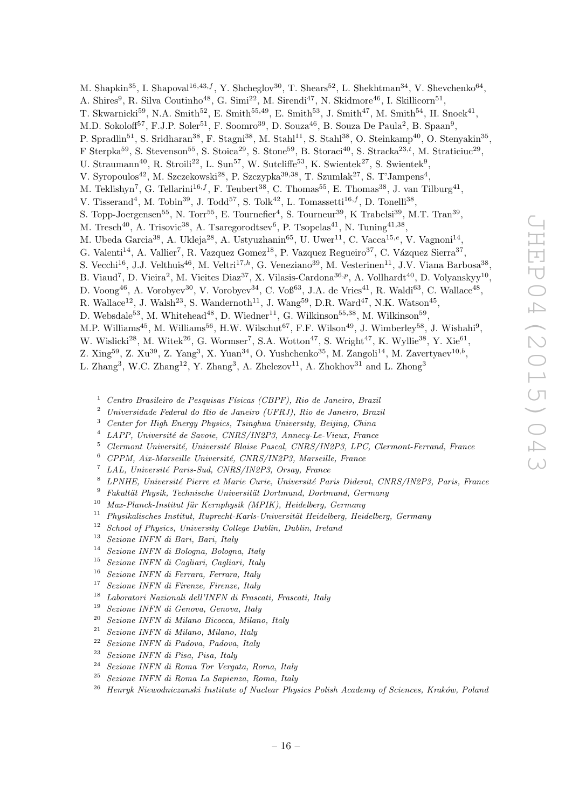M. Shapkin<sup>35</sup>, I. Shapoval<sup>16,43,f</sup>, Y. Shcheglov<sup>30</sup>, T. Shears<sup>52</sup>, L. Shekhtman<sup>34</sup>, V. Shevchenko<sup>64</sup>, A. Shires<sup>9</sup>, R. Silva Coutinho<sup>48</sup>, G. Simi<sup>22</sup>, M. Sirendi<sup>47</sup>, N. Skidmore<sup>46</sup>, I. Skillicorn<sup>51</sup>, T. Skwarnicki<sup>59</sup>, N.A. Smith<sup>52</sup>, E. Smith<sup>55,49</sup>, E. Smith<sup>53</sup>, J. Smith<sup>47</sup>, M. Smith<sup>54</sup>, H. Snoek<sup>41</sup>, M.D. Sokoloff<sup>57</sup>, F.J.P. Soler<sup>51</sup>, F. Soomro<sup>39</sup>, D. Souza<sup>46</sup>, B. Souza De Paula<sup>2</sup>, B. Spaan<sup>9</sup>, P. Spradlin<sup>51</sup>, S. Sridharan<sup>38</sup>, F. Stagni<sup>38</sup>, M. Stahl<sup>11</sup>, S. Stahl<sup>38</sup>, O. Steinkamp<sup>40</sup>, O. Stenyakin<sup>35</sup>, F Sterpka<sup>59</sup>, S. Stevenson<sup>55</sup>, S. Stoica<sup>29</sup>, S. Stone<sup>59</sup>, B. Storaci<sup>40</sup>, S. Stracka<sup>23,t</sup>, M. Straticiuc<sup>29</sup>, U. Straumann<sup>40</sup>, R. Stroili<sup>22</sup>, L. Sun<sup>57</sup>, W. Sutcliffe<sup>53</sup>, K. Swientek<sup>27</sup>, S. Swientek<sup>9</sup>, V. Syropoulos<sup>42</sup>, M. Szczekowski<sup>28</sup>, P. Szczypka<sup>39,38</sup>, T. Szumlak<sup>27</sup>, S. T'Jampens<sup>4</sup>, M. Teklishyn<sup>7</sup>, G. Tellarini<sup>16,f</sup>, F. Teubert<sup>38</sup>, C. Thomas<sup>55</sup>, E. Thomas<sup>38</sup>, J. van Tilburg<sup>41</sup>, V. Tisserand<sup>4</sup>, M. Tobin<sup>39</sup>, J. Todd<sup>57</sup>, S. Tolk<sup>42</sup>, L. Tomassetti<sup>16,f</sup>, D. Tonelli<sup>38</sup>, S. Topp-Joergensen<sup>55</sup>, N. Torr<sup>55</sup>, E. Tournefier<sup>4</sup>, S. Tourneur<sup>39</sup>, K Trabelsi<sup>39</sup>, M.T. Tran<sup>39</sup>, M. Tresch<sup>40</sup>, A. Trisovic<sup>38</sup>, A. Tsaregorodtsev<sup>6</sup>, P. Tsopelas<sup>41</sup>, N. Tuning<sup>41,38</sup>, M. Ubeda Garcia<sup>38</sup>, A. Ukleja<sup>28</sup>, A. Ustyuzhanin<sup>65</sup>, U. Uwer<sup>11</sup>, C. Vacca<sup>15,e</sup>, V. Vagnoni<sup>14</sup>, G. Valenti<sup>14</sup>, A. Vallier<sup>7</sup>, R. Vazquez Gomez<sup>18</sup>, P. Vazquez Regueiro<sup>37</sup>, C. Vázquez Sierra<sup>37</sup>, S. Vecchi<sup>16</sup>, J.J. Velthuis<sup>46</sup>, M. Veltri<sup>17,h</sup>, G. Veneziano<sup>39</sup>, M. Vesterinen<sup>11</sup>, J.V. Viana Barbosa<sup>38</sup>, B. Viaud<sup>7</sup>, D. Vieira<sup>2</sup>, M. Vieites Diaz<sup>37</sup>, X. Vilasis-Cardona<sup>36,p</sup>, A. Vollhardt<sup>40</sup>, D. Volyanskyy<sup>10</sup>, D. Voong<sup>46</sup>, A. Vorobyev<sup>30</sup>, V. Vorobyev<sup>34</sup>, C. Voß<sup>63</sup>, J.A. de Vries<sup>41</sup>, R. Waldi<sup>63</sup>, C. Wallace<sup>48</sup>, R. Wallace<sup>12</sup>, J. Walsh<sup>23</sup>, S. Wandernoth<sup>11</sup>, J. Wang<sup>59</sup>, D.R. Ward<sup>47</sup>, N.K. Watson<sup>45</sup>, D. Websdale<sup>53</sup>, M. Whitehead<sup>48</sup>, D. Wiedner<sup>11</sup>, G. Wilkinson<sup>55,38</sup>, M. Wilkinson<sup>59</sup>, M.P. Williams<sup>45</sup>, M. Williams<sup>56</sup>, H.W. Wilschut<sup>67</sup>, F.F. Wilson<sup>49</sup>, J. Wimberley<sup>58</sup>, J. Wishahi<sup>9</sup>, W. Wislicki<sup>28</sup>, M. Witek<sup>26</sup>, G. Wormser<sup>7</sup>, S.A. Wotton<sup>47</sup>, S. Wright<sup>47</sup>, K. Wyllie<sup>38</sup>, Y. Xie<sup>61</sup>, Z. Xing<sup>59</sup>, Z. Xu<sup>39</sup>, Z. Yang<sup>3</sup>, X. Yuan<sup>34</sup>, O. Yushchenko<sup>35</sup>, M. Zangoli<sup>14</sup>, M. Zavertyaev<sup>10,b</sup>,

L. Zhang<sup>3</sup>, W.C. Zhang<sup>12</sup>, Y. Zhang<sup>3</sup>, A. Zhelezov<sup>11</sup>, A. Zhokhov<sup>31</sup> and L. Zhong<sup>3</sup>

- $1$  Centro Brasileiro de Pesquisas Físicas (CBPF), Rio de Janeiro, Brazil
- <sup>2</sup> Universidade Federal do Rio de Janeiro (UFRJ), Rio de Janeiro, Brazil
- <sup>3</sup> Center for High Energy Physics, Tsinghua University, Beijing, China
- $4$  LAPP, Université de Savoie, CNRS/IN2P3, Annecy-Le-Vieux, France
- $5$  Clermont Université, Université Blaise Pascal, CNRS/IN2P3, LPC, Clermont-Ferrand, France
- $6$  CPPM, Aix-Marseille Université, CNRS/IN2P3, Marseille, France
- <sup>7</sup> LAL, Université Paris-Sud, CNRS/IN2P3, Orsay, France
- LPNHE, Université Pierre et Marie Curie, Université Paris Diderot, CNRS/IN2P3, Paris, France
- $9$  Fakultät Physik, Technische Universität Dortmund, Dortmund, Germany
- $10$  Max-Planck-Institut für Kernphysik (MPIK), Heidelberg, Germany
- $11$  Physikalisches Institut, Ruprecht-Karls-Universität Heidelberg, Heidelberg, Germany
- $12$  School of Physics, University College Dublin, Dublin, Ireland
- <sup>13</sup> Sezione INFN di Bari, Bari, Italy
- <sup>14</sup> Sezione INFN di Bologna, Bologna, Italy
- <sup>15</sup> Sezione INFN di Cagliari, Cagliari, Italy
- <sup>16</sup> Sezione INFN di Ferrara, Ferrara, Italy
- <sup>17</sup> Sezione INFN di Firenze, Firenze, Italy
- <sup>18</sup> Laboratori Nazionali dell'INFN di Frascati, Frascati, Italy
- <sup>19</sup> Sezione INFN di Genova, Genova, Italy<br><sup>20</sup> Sezione INFN di Milano Bicacca, Milan
- <sup>20</sup> Sezione INFN di Milano Bicocca, Milano, Italy<br><sup>21</sup> Seriese INFN di Milano, Milano, Italy
- <sup>21</sup> Sezione INFN di Milano, Milano, Italy
- <sup>22</sup> Sezione INFN di Padova, Padova, Italy
- <sup>23</sup> Sezione INFN di Pisa, Pisa, Italy
- <sup>24</sup> Sezione INFN di Roma Tor Vergata, Roma, Italy
- <sup>25</sup> Sezione INFN di Roma La Sapienza, Roma, Italy
- <sup>26</sup> Henryk Niewodniczanski Institute of Nuclear Physics Polish Academy of Sciences, Kraków, Poland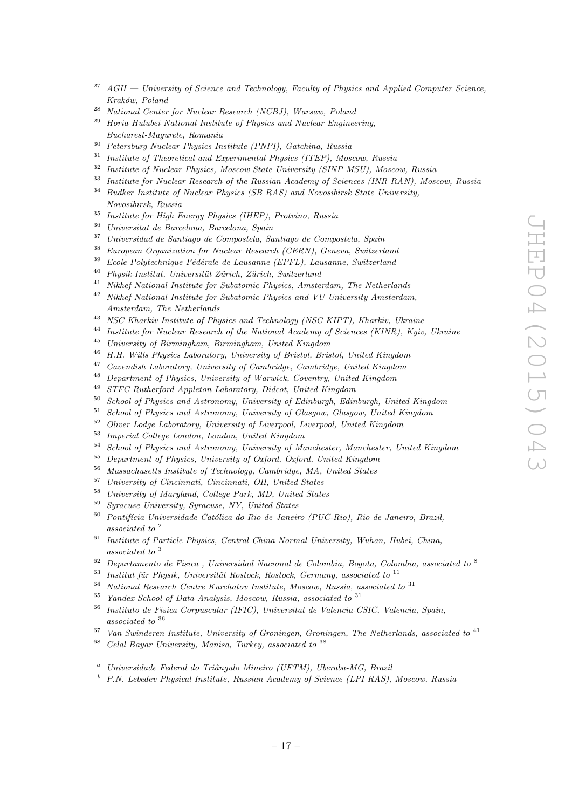- $^{27}$  AGH  $-$  University of Science and Technology, Faculty of Physics and Applied Computer Science, Kraków, Poland
- <sup>28</sup> National Center for Nuclear Research (NCBJ), Warsaw, Poland
- $29$  Horia Hulubei National Institute of Physics and Nuclear Engineering, Bucharest-Magurele, Romania
- <sup>30</sup> Petersburg Nuclear Physics Institute (PNPI), Gatchina, Russia<br><sup>31</sup> Institute of Theoretical and Experimental Physics (ITEP), Mac
- <sup>31</sup> Institute of Theoretical and Experimental Physics (ITEP), Moscow, Russia<br> $\frac{32}{100}$  Institute of Nucleus Physics Moscow State University (CIND MCI), Mosco
- <sup>32</sup> Institute of Nuclear Physics, Moscow State University (SINP MSU), Moscow, Russia<br><sup>33</sup> Institute for Nuclear Present of the Presion Assessment Stimus (NIP PAN), Max
- Institute for Nuclear Research of the Russian Academy of Sciences (INR RAN), Moscow, Russia
- $34$  Budker Institute of Nuclear Physics (SB RAS) and Novosibirsk State University, Novosibirsk, Russia
- <sup>35</sup> Institute for High Energy Physics (IHEP), Protvino, Russia
- <sup>36</sup> Universitat de Barcelona, Barcelona, Spain
- <sup>37</sup> Universidad de Santiago de Compostela, Santiago de Compostela, Spain
- <sup>38</sup> European Organization for Nuclear Research (CERN), Geneva, Switzerland
- $39$  Ecole Polytechnique Fédérale de Lausanne (EPFL), Lausanne, Switzerland
- $^{40}$  Physik-Institut, Universität Zürich, Zürich, Switzerland
- <sup>41</sup> Nikhef National Institute for Subatomic Physics, Amsterdam, The Netherlands
- <sup>42</sup> Nikhef National Institute for Subatomic Physics and VU University Amsterdam, Amsterdam, The Netherlands
- <sup>43</sup> NSC Kharkiv Institute of Physics and Technology (NSC KIPT), Kharkiv, Ukraine
- <sup>44</sup> Institute for Nuclear Research of the National Academy of Sciences (KINR), Kyiv, Ukraine
- <sup>45</sup> University of Birmingham, Birmingham, United Kingdom
- <sup>46</sup> H.H. Wills Physics Laboratory, University of Bristol, Bristol, United Kingdom
- <sup>47</sup> Cavendish Laboratory, University of Cambridge, Cambridge, United Kingdom
- <sup>48</sup> Department of Physics, University of Warwick, Coventry, United Kingdom
- <sup>49</sup> STFC Rutherford Appleton Laboratory, Didcot, United Kingdom
- <sup>50</sup> School of Physics and Astronomy, University of Edinburgh, Edinburgh, United Kingdom
- <sup>51</sup> School of Physics and Astronomy, University of Glasgow, Glasgow, United Kingdom
- <sup>52</sup> Oliver Lodge Laboratory, University of Liverpool, Liverpool, United Kingdom
- <sup>53</sup> Imperial College London, London, United Kingdom
- $54$  School of Physics and Astronomy, University of Manchester, Manchester, United Kingdom
- <sup>55</sup> Department of Physics, University of Oxford, Oxford, United Kingdom<br><sup>56</sup> Massachusette Institute of Technology, Cambridge, MA, United States
- <sup>56</sup> Massachusetts Institute of Technology, Cambridge, MA, United States
- <sup>57</sup> University of Cincinnati, Cincinnati, OH, United States
- <sup>58</sup> University of Maryland, College Park, MD, United States
- <sup>59</sup> Syracuse University, Syracuse, NY, United States
- $60$  Pontifícia Universidade Católica do Rio de Janeiro (PUC-Rio), Rio de Janeiro, Brazil, associated to <sup>2</sup>
- $61$  Institute of Particle Physics, Central China Normal University, Wuhan, Hubei, China, associated to <sup>3</sup>
- $62$  Departamento de Fisica, Universidad Nacional de Colombia, Bogota, Colombia, associated to  $8$
- <sup>63</sup> Institut für Physik, Universität Rostock, Rostock, Germany, associated to <sup>11</sup><br><sup>64</sup> Metianal Research Centre Kurchsten Institute Meeseen Puesie, associated to
- <sup>64</sup> National Research Centre Kurchatov Institute, Moscow, Russia, associated to <sup>31</sup><br><sup>65</sup> Yandar School of Data Anglusia, Moscow, Pussia, associated to <sup>31</sup>
- <sup>65</sup> Yandex School of Data Analysis, Moscow, Russia, associated to  $31$ <br><sup>66</sup> Institute de Fisies Generalise (IEIC), Heinweitet de Valencie G
- <sup>66</sup> Instituto de Fisica Corpuscular (IFIC), Universitat de Valencia-CSIC, Valencia, Spain, associated to <sup>36</sup>
- $67$  Van Swinderen Institute, University of Groningen, Groningen, The Netherlands, associated to  $41$
- $68$  Celal Bayar University, Manisa, Turkey, associated to  $38$
- $a$  Universidade Federal do Triângulo Mineiro (UFTM), Uberaba-MG, Brazil
- <sup>b</sup> P.N. Lebedev Physical Institute, Russian Academy of Science (LPI RAS), Moscow, Russia